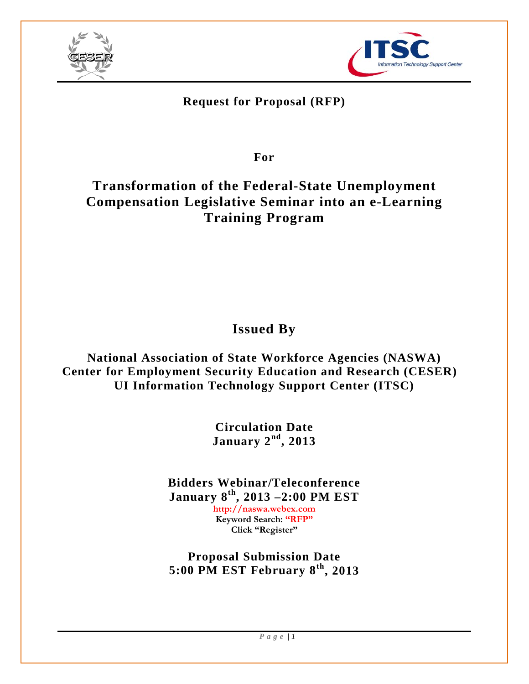



# **RFP Announcement**

### **National Association of State Workforce Agencies (NASWA) Center for Employment Security Education and Research (CESER) Information Technology Support Center (ITSC)**

## **Request for Proposal:**

### **Transformation of the Federal-State Unemployment Compensation Legislative Seminar into an e-Learning Training Program**

The National Association of State Workforce Agencies (NASWA), Information Technology Support Center (ITSC) is seeking to procure the services of a contractor through a firm fixed price contract to develop and implement an e-Learning Training Program to replace a week long in-person Unemployment Insurance Legislative Training Seminar.

The U.S. Department of Labor's (USDOL), Employment and Training Administration (ETA)'s Office of Unemployment Insurance (OUI) is required to ensure conformity and compliance of state unemployment compensation law, regulations, rules, and operations with Federal law. Ongoing training and technical assistance are the key strategies to ensure this federal function is accomplished. One of the strategies that OUI has in place is providing technical assistance to state agency and legislative staff by offering a bi-annual in-person legislative training seminar. Budgets for state staff to travel for in-person training have been limited and OUI is looking to develop an e-Learning option to provide this training remotely using web technology to replace the existing in-person legislative training seminar.

**Notice of Intent to Submit a Proposal:** Vendors who intend to submit a proposal in response to this RFP should submit an email to [rfp\\_responses@itsc.org](mailto:rfp_responses@itsc.org) indicating this intent. The notice should include the following information:

- The company or individual's name (as appropriate),
- Contact person's name and title, and
- Contact person's email address and telephone number.

#### **Notice of Intent to Submit a Proposal creates no obligation and is not a prerequisite for submitting a proposal however, it is necessary to ensure all potential bidders receive access to the additional information listed in the RFP on page 15, Additional Vendor Resources**

The RFP consists of the following documents:

**RFP:** Transformation of the Federal-State Unemployment Compensation Legislative Seminar into an e-Learning Training Program **Appendix 1:** Suggested Prototype Solution **Appendix 2**: Outline of Material in Legislative Training Manual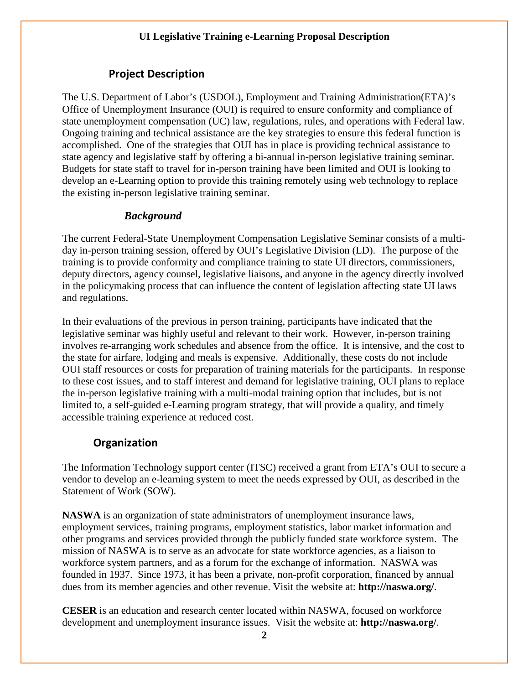



**Appendix 3**: Legislative Training Manual Contents **Appendix 4:** Continuing Legal Education Units **Appendix 5**: ITSC Project Management Plan Outline **Appendix 6**: ITSC Draft Project Schedule **Appendix 7:** Contract General Terms and Conditions

**Important Dates:**

**RFP Publication Date: January 2, 2013** 

**Bidders Webinar/Teleconference: January 8, 2013 2:00 PM ET** 

- http://naswa.webex.com
- Keyword Search: "RFP"
- Click "Register"

**Notice of Intent to Submit a Proposal Deadline: January 10, 2013 5:00 PM ET**

**Proposal Due Date: February 8, 2103, by 5:00 p.m. EDT to [rfp\\_responses@itsc.org](mailto:rfp_responses@itsc.org)**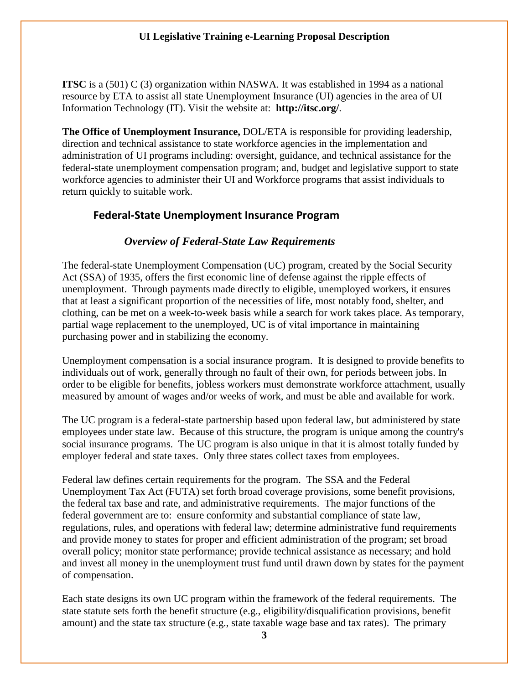



# **Request for Proposal (RFP)**

**For** 

# **Transformation of the Federal-State Unemployment Compensation Legislative Seminar into an e-Learning Training Program**

# **Issued By**

**National Association of State Workforce Agencies (NASWA) Center for Employment Security Education and Research (CESER) UI Information Technology Support Center (ITSC)**

> **Circulation Date January 2nd , 2013**

**Bidders Webinar/Teleconference January 8th , 2013 –2:00 PM EST http://naswa.webex.com Keyword Search: "RFP" Click "Register"**

**Proposal Submission Date 5:00 PM EST February 8th , 2013**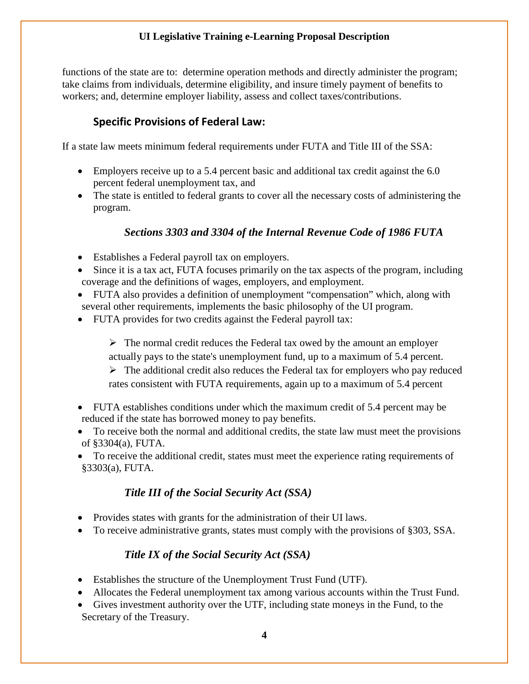### **Project Description**

The U.S. Department of Labor's (USDOL), Employment and Training Administration(ETA)'s Office of Unemployment Insurance (OUI) is required to ensure conformity and compliance of state unemployment compensation (UC) law, regulations, rules, and operations with Federal law. Ongoing training and technical assistance are the key strategies to ensure this federal function is accomplished. One of the strategies that OUI has in place is providing technical assistance to state agency and legislative staff by offering a bi-annual in-person legislative training seminar. Budgets for state staff to travel for in-person training have been limited and OUI is looking to develop an e-Learning option to provide this training remotely using web technology to replace the existing in-person legislative training seminar.

#### *Background*

The current Federal-State Unemployment Compensation Legislative Seminar consists of a multiday in-person training session, offered by OUI's Legislative Division (LD). The purpose of the training is to provide conformity and compliance training to state UI directors, commissioners, deputy directors, agency counsel, legislative liaisons, and anyone in the agency directly involved in the policymaking process that can influence the content of legislation affecting state UI laws and regulations.

In their evaluations of the previous in person training, participants have indicated that the legislative seminar was highly useful and relevant to their work. However, in-person training involves re-arranging work schedules and absence from the office. It is intensive, and the cost to the state for airfare, lodging and meals is expensive. Additionally, these costs do not include OUI staff resources or costs for preparation of training materials for the participants. In response to these cost issues, and to staff interest and demand for legislative training, OUI plans to replace the in-person legislative training with a multi-modal training option that includes, but is not limited to, a self-guided e-Learning program strategy, that will provide a quality, and timely accessible training experience at reduced cost.

#### **Organization**

The Information Technology support center (ITSC) received a grant from ETA's OUI to secure a vendor to develop an e-learning system to meet the needs expressed by OUI, as described in the Statement of Work (SOW).

**NASWA** is an organization of state administrators of unemployment insurance laws, employment services, training programs, employment statistics, labor market information and other programs and services provided through the publicly funded state workforce system. The mission of NASWA is to serve as an advocate for state workforce agencies, as a liaison to workforce system partners, and as a forum for the exchange of information. NASWA was founded in 1937. Since 1973, it has been a private, non-profit corporation, financed by annual dues from its member agencies and other revenue. Visit the website at: **<http://naswa.org/>**.

**CESER** is an education and research center located within NASWA, focused on workforce development and unemployment insurance issues. Visit the website at: **<http://naswa.org/>**.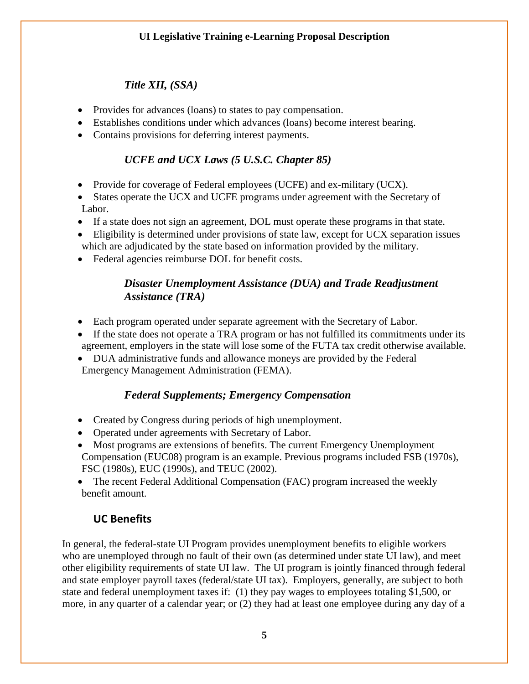**ITSC** is a (501) C (3) organization within NASWA. It was established in 1994 as a national resource by ETA to assist all state Unemployment Insurance (UI) agencies in the area of UI Information Technology (IT). Visit the website at: **<http://itsc.org/>**.

**The Office of Unemployment Insurance,** DOL/ETA is responsible for providing leadership, direction and technical assistance to state workforce agencies in the implementation and administration of UI programs including: oversight, guidance, and technical assistance for the federal-state unemployment compensation program; and, budget and legislative support to state workforce agencies to administer their UI and Workforce programs that assist individuals to return quickly to suitable work.

## **Federal-State Unemployment Insurance Program**

## *Overview of Federal-State Law Requirements*

The federal-state Unemployment Compensation (UC) program, created by the Social Security Act (SSA) of 1935, offers the first economic line of defense against the ripple effects of unemployment. Through payments made directly to eligible, unemployed workers, it ensures that at least a significant proportion of the necessities of life, most notably food, shelter, and clothing, can be met on a week-to-week basis while a search for work takes place. As temporary, partial wage replacement to the unemployed, UC is of vital importance in maintaining purchasing power and in stabilizing the economy.

Unemployment compensation is a social insurance program. It is designed to provide benefits to individuals out of work, generally through no fault of their own, for periods between jobs. In order to be eligible for benefits, jobless workers must demonstrate workforce attachment, usually measured by amount of wages and/or weeks of work, and must be able and available for work.

The UC program is a federal-state partnership based upon federal law, but administered by state employees under state law. Because of this structure, the program is unique among the country's social insurance programs. The UC program is also unique in that it is almost totally funded by employer federal and state taxes. Only three states collect taxes from employees.

Federal law defines certain requirements for the program. The SSA and the Federal Unemployment Tax Act (FUTA) set forth broad coverage provisions, some benefit provisions, the federal tax base and rate, and administrative requirements. The major functions of the federal government are to: ensure conformity and substantial compliance of state law, regulations, rules, and operations with federal law; determine administrative fund requirements and provide money to states for proper and efficient administration of the program; set broad overall policy; monitor state performance; provide technical assistance as necessary; and hold and invest all money in the unemployment trust fund until drawn down by states for the payment of compensation.

Each state designs its own UC program within the framework of the federal requirements. The state statute sets forth the benefit structure (e.g., eligibility/disqualification provisions, benefit amount) and the state tax structure (e.g., state taxable wage base and tax rates). The primary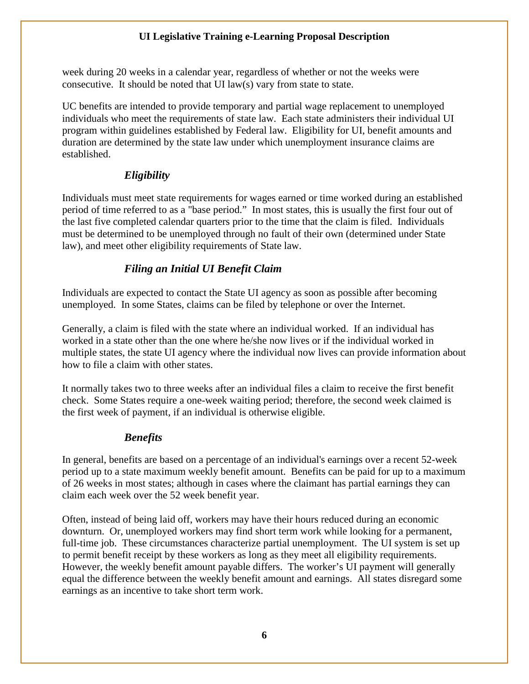functions of the state are to: determine operation methods and directly administer the program; take claims from individuals, determine eligibility, and insure timely payment of benefits to workers; and, determine employer liability, assess and collect taxes/contributions.

### **Specific Provisions of Federal Law:**

If a state law meets minimum federal requirements under FUTA and Title III of the SSA:

- Employers receive up to a 5.4 percent basic and additional tax credit against the 6.0 percent federal unemployment tax, and
- The state is entitled to federal grants to cover all the necessary costs of administering the program.

## *Sections 3303 and 3304 of the Internal Revenue Code of 1986 FUTA*

- Establishes a Federal payroll tax on employers.
- Since it is a tax act, FUTA focuses primarily on the tax aspects of the program, including coverage and the definitions of wages, employers, and employment.
- FUTA also provides a definition of unemployment "compensation" which, along with several other requirements, implements the basic philosophy of the UI program.
- FUTA provides for two credits against the Federal payroll tax:

 $\triangleright$  The normal credit reduces the Federal tax owed by the amount an employer actually pays to the state's unemployment fund, up to a maximum of 5.4 percent.

 $\triangleright$  The additional credit also reduces the Federal tax for employers who pay reduced rates consistent with FUTA requirements, again up to a maximum of 5.4 percent

- FUTA establishes conditions under which the maximum credit of 5.4 percent may be reduced if the state has borrowed money to pay benefits.
- To receive both the normal and additional credits, the state law must meet the provisions of §3304(a), FUTA.
- To receive the additional credit, states must meet the experience rating requirements of §3303(a), FUTA.

#### *Title III of the Social Security Act (SSA)*

- Provides states with grants for the administration of their UI laws.
- To receive administrative grants, states must comply with the provisions of §303, SSA.

## *Title IX of the Social Security Act (SSA)*

- Establishes the structure of the Unemployment Trust Fund (UTF).
- Allocates the Federal unemployment tax among various accounts within the Trust Fund.
- Gives investment authority over the UTF, including state moneys in the Fund, to the Secretary of the Treasury.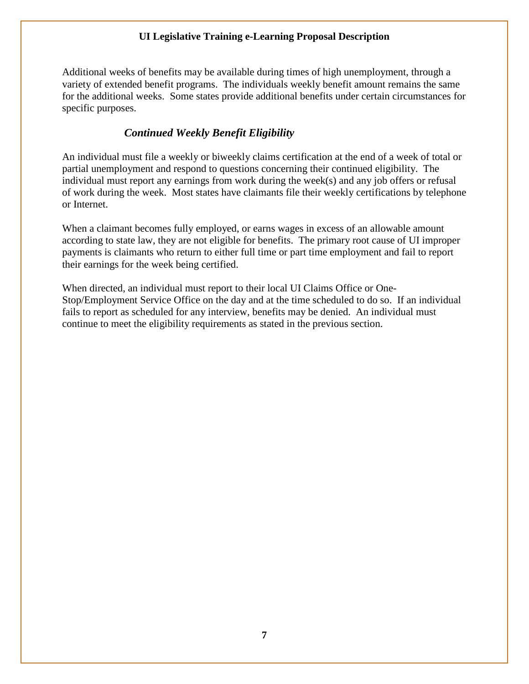## *Title XII, (SSA)*

- Provides for advances (loans) to states to pay compensation.
- Establishes conditions under which advances (loans) become interest bearing.
- Contains provisions for deferring interest payments.

## *UCFE and UCX Laws (5 U.S.C. Chapter 85)*

- Provide for coverage of Federal employees (UCFE) and ex-military (UCX).
- States operate the UCX and UCFE programs under agreement with the Secretary of Labor.
- If a state does not sign an agreement, DOL must operate these programs in that state.
- Eligibility is determined under provisions of state law, except for UCX separation issues which are adjudicated by the state based on information provided by the military.
- Federal agencies reimburse DOL for benefit costs.

## *Disaster Unemployment Assistance (DUA) and Trade Readjustment Assistance (TRA)*

- Each program operated under separate agreement with the Secretary of Labor.
- If the state does not operate a TRA program or has not fulfilled its commitments under its agreement, employers in the state will lose some of the FUTA tax credit otherwise available.
- DUA administrative funds and allowance moneys are provided by the Federal Emergency Management Administration (FEMA).

## *Federal Supplements; Emergency Compensation*

- Created by Congress during periods of high unemployment.
- Operated under agreements with Secretary of Labor.
- Most programs are extensions of benefits. The current Emergency Unemployment Compensation (EUC08) program is an example. Previous programs included FSB (1970s), FSC (1980s), EUC (1990s), and TEUC (2002).
- The recent Federal Additional Compensation (FAC) program increased the weekly benefit amount.

## **UC Benefits**

In general, the federal-state UI Program provides unemployment benefits to eligible workers who are unemployed through no fault of their own (as determined under state UI law), and meet other eligibility requirements of state UI law. The UI program is jointly financed through federal and state employer payroll taxes (federal/state UI tax). Employers, generally, are subject to both state and federal unemployment taxes if: (1) they pay wages to employees totaling \$1,500, or more, in any quarter of a calendar year; or (2) they had at least one employee during any day of a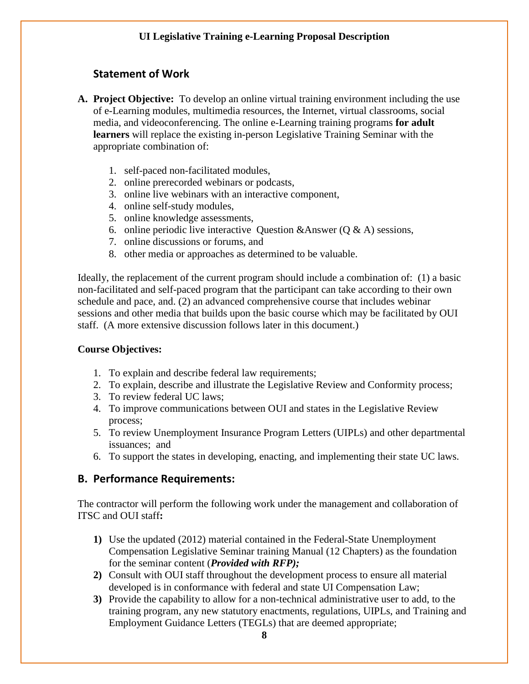week during 20 weeks in a calendar year, regardless of whether or not the weeks were consecutive. It should be noted that UI law(s) vary from state to state.

UC benefits are intended to provide temporary and partial wage replacement to unemployed individuals who meet the requirements of state law. Each state administers their individual UI program within guidelines established by Federal law. Eligibility for UI, benefit amounts and duration are determined by the state law under which unemployment insurance claims are established.

## *Eligibility*

Individuals must meet state requirements for wages earned or time worked during an established period of time referred to as a "base period." In most states, this is usually the first four out of the last five completed calendar quarters prior to the time that the claim is filed. Individuals must be determined to be unemployed through no fault of their own (determined under State law), and meet other eligibility requirements of State law.

## *Filing an Initial UI Benefit Claim*

Individuals are expected to [contact the State UI agency](http://www.servicelocator.org/OWSLinks.asp) as soon as possible after becoming unemployed. In some States, claims can be filed by telephone or over the Internet.

Generally, a claim is filed with the state where an individual worked. If an individual has worked in a state other than the one where he/she now lives or if the individual worked in multiple states, the state UI agency where the individual now lives can provide information about how to file a claim with other states.

It normally takes two to three weeks after an individual files a claim to receive the first benefit check. Some States require a one-week waiting period; therefore, the second week claimed is the first week of payment, if an individual is otherwise eligible.

## *Benefits*

In general, benefits are based on a percentage of an individual's earnings over a recent 52-week period up to a state maximum weekly benefit amount. Benefits can be paid for up to a maximum of 26 weeks in most states; although in cases where the claimant has partial earnings they can claim each week over the 52 week benefit year.

Often, instead of being laid off, workers may have their hours reduced during an economic downturn. Or, unemployed workers may find short term work while looking for a permanent, full-time job. These circumstances characterize partial unemployment. The UI system is set up to permit benefit receipt by these workers as long as they meet all eligibility requirements. However, the weekly benefit amount payable differs. The worker's UI payment will generally equal the difference between the weekly benefit amount and earnings. All states disregard some earnings as an incentive to take short term work.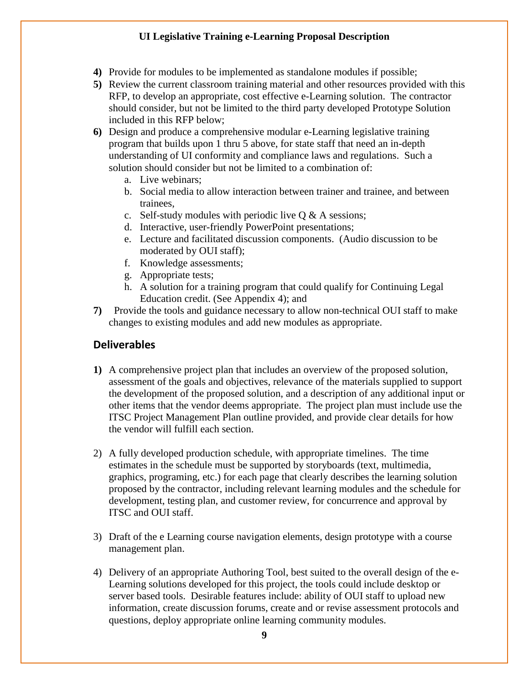Additional weeks of benefits may be available during times of high unemployment, through a variety of extended benefit programs. The individuals weekly benefit amount remains the same for the additional weeks. Some states provide additional benefits under certain circumstances for specific purposes.

### *Continued Weekly Benefit Eligibility*

An individual must file a weekly or biweekly claims certification at the end of a week of total or partial unemployment and respond to questions concerning their continued eligibility. The individual must report any earnings from work during the week(s) and any job offers or refusal of work during the week. Most states have claimants file their weekly certifications by telephone or Internet.

When a claimant becomes fully employed, or earns wages in excess of an allowable amount according to state law, they are not eligible for benefits. The primary root cause of UI improper payments is claimants who return to either full time or part time employment and fail to report their earnings for the week being certified.

When directed, an individual must report to their local UI Claims Office or One-Stop/Employment Service Office on the day and at the time scheduled to do so. If an individual fails to report as scheduled for any interview, benefits may be denied. An individual must continue to meet the eligibility requirements as stated in the previous section.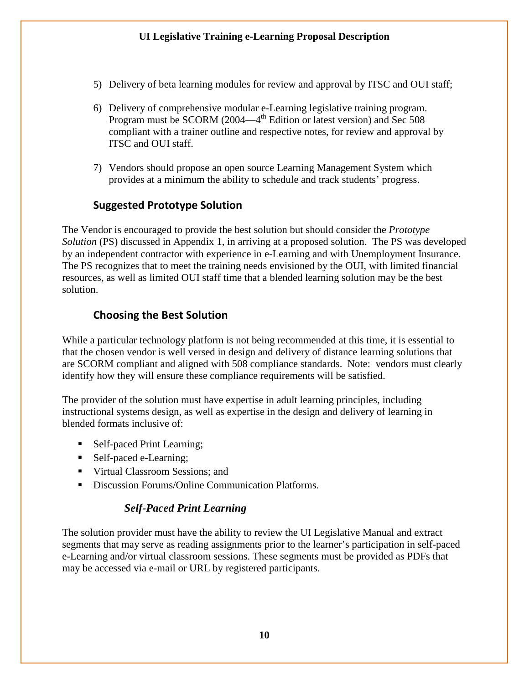## **Statement of Work**

- **A. Project Objective:** To develop an online virtual training environment including the use of e-Learning modules, multimedia resources, the Internet, virtual classrooms, social media, and videoconferencing. The online e-Learning training programs **for adult learners** will replace the existing in-person Legislative Training Seminar with the appropriate combination of:
	- 1. self-paced non-facilitated modules,
	- 2. online prerecorded webinars or podcasts,
	- 3. online live webinars with an interactive component,
	- 4. online self-study modules,
	- 5. online knowledge assessments,
	- 6. online periodic live interactive Question &Answer  $(0 \& A)$  sessions,
	- 7. online discussions or forums, and
	- 8. other media or approaches as determined to be valuable.

Ideally, the replacement of the current program should include a combination of: (1) a basic non-facilitated and self-paced program that the participant can take according to their own schedule and pace, and. (2) an advanced comprehensive course that includes webinar sessions and other media that builds upon the basic course which may be facilitated by OUI staff. (A more extensive discussion follows later in this document.)

#### **Course Objectives:**

- 1. To explain and describe federal law requirements;
- 2. To explain, describe and illustrate the Legislative Review and Conformity process;
- 3. To review federal UC laws;
- 4. To improve communications between OUI and states in the Legislative Review process;
- 5. To review Unemployment Insurance Program Letters (UIPLs) and other departmental issuances; and
- 6. To support the states in developing, enacting, and implementing their state UC laws.

#### **B. Performance Requirements:**

The contractor will perform the following work under the management and collaboration of ITSC and OUI staff**:**

- **1)** Use the updated (2012) material contained in the Federal-State Unemployment Compensation Legislative Seminar training Manual (12 Chapters) as the foundation for the seminar content (*Provided with RFP);*
- **2)** Consult with OUI staff throughout the development process to ensure all material developed is in conformance with federal and state UI Compensation Law;
- **3)** Provide the capability to allow for a non-technical administrative user to add, to the training program, any new statutory enactments, regulations, UIPLs, and Training and Employment Guidance Letters (TEGLs) that are deemed appropriate;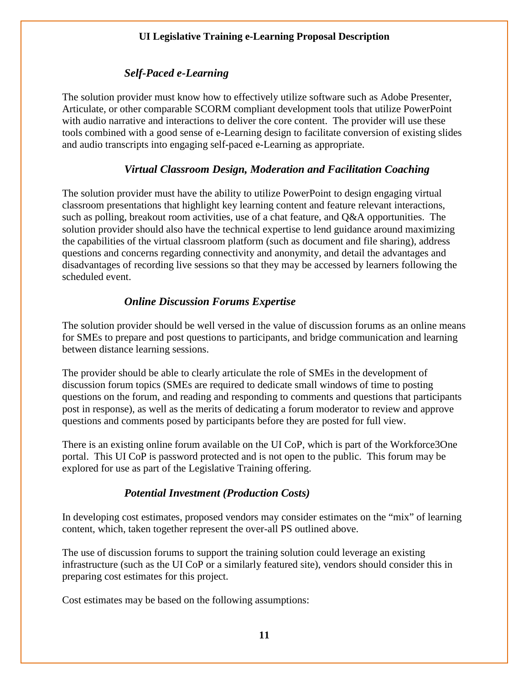- **4)** Provide for modules to be implemented as standalone modules if possible;
- **5)** Review the current classroom training material and other resources provided with this RFP, to develop an appropriate, cost effective e-Learning solution. The contractor should consider, but not be limited to the third party developed Prototype Solution included in this RFP below;
- **6)** Design and produce a comprehensive modular e-Learning legislative training program that builds upon 1 thru 5 above, for state staff that need an in-depth understanding of UI conformity and compliance laws and regulations. Such a solution should consider but not be limited to a combination of:
	- a. Live webinars;
	- b. Social media to allow interaction between trainer and trainee, and between trainees,
	- c. Self-study modules with periodic live  $Q & A$  sessions;
	- d. Interactive, user-friendly PowerPoint presentations;
	- e. Lecture and facilitated discussion components. (Audio discussion to be moderated by OUI staff);
	- f. Knowledge assessments;
	- g. Appropriate tests;
	- h. A solution for a training program that could qualify for Continuing Legal Education credit. (See Appendix 4); and
- **7)** Provide the tools and guidance necessary to allow non-technical OUI staff to make changes to existing modules and add new modules as appropriate.

#### **Deliverables**

- **1)** A comprehensive project plan that includes an overview of the proposed solution, assessment of the goals and objectives, relevance of the materials supplied to support the development of the proposed solution, and a description of any additional input or other items that the vendor deems appropriate. The project plan must include use the ITSC Project Management Plan outline provided, and provide clear details for how the vendor will fulfill each section.
- 2) A fully developed production schedule, with appropriate timelines. The time estimates in the schedule must be supported by storyboards (text, multimedia, graphics, programing, etc.) for each page that clearly describes the learning solution proposed by the contractor, including relevant learning modules and the schedule for development, testing plan, and customer review, for concurrence and approval by ITSC and OUI staff.
- 3) Draft of the e Learning course navigation elements, design prototype with a course management plan.
- 4) Delivery of an appropriate Authoring Tool, best suited to the overall design of the e-Learning solutions developed for this project, the tools could include desktop or server based tools. Desirable features include: ability of OUI staff to upload new information, create discussion forums, create and or revise assessment protocols and questions, deploy appropriate online learning community modules.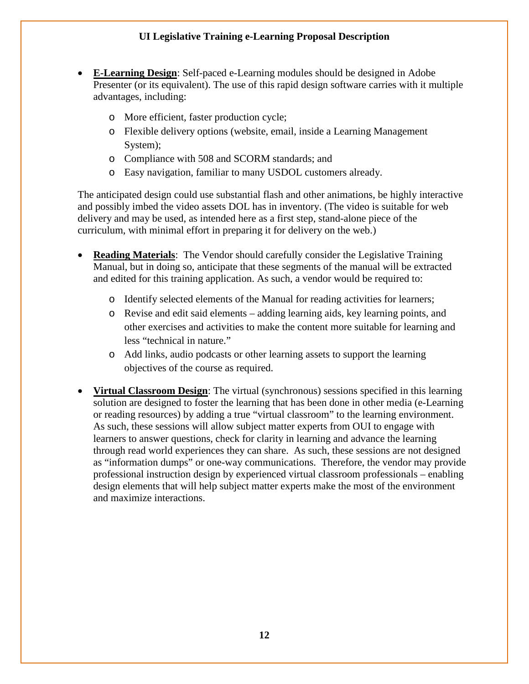- 5) Delivery of beta learning modules for review and approval by ITSC and OUI staff;
- 6) Delivery of comprehensive modular e-Learning legislative training program. Program must be SCORM (2004—4<sup>th</sup> Edition or latest version) and Sec 508 compliant with a trainer outline and respective notes, for review and approval by ITSC and OUI staff.
- 7) Vendors should propose an open source Learning Management System which provides at a minimum the ability to schedule and track students' progress.

## **Suggested Prototype Solution**

The Vendor is encouraged to provide the best solution but should consider the *Prototype Solution* (PS) discussed in Appendix 1, in arriving at a proposed solution. The PS was developed by an independent contractor with experience in e-Learning and with Unemployment Insurance. The PS recognizes that to meet the training needs envisioned by the OUI, with limited financial resources, as well as limited OUI staff time that a blended learning solution may be the best solution.

## **Choosing the Best Solution**

While a particular technology platform is not being recommended at this time, it is essential to that the chosen vendor is well versed in design and delivery of distance learning solutions that are SCORM compliant and aligned with 508 compliance standards. Note: vendors must clearly identify how they will ensure these compliance requirements will be satisfied.

The provider of the solution must have expertise in adult learning principles, including instructional systems design, as well as expertise in the design and delivery of learning in blended formats inclusive of:

- Self-paced Print Learning;
- Self-paced e-Learning;
- Virtual Classroom Sessions: and
- Discussion Forums/Online Communication Platforms.

## *Self-Paced Print Learning*

The solution provider must have the ability to review the UI Legislative Manual and extract segments that may serve as reading assignments prior to the learner's participation in self-paced e-Learning and/or virtual classroom sessions. These segments must be provided as PDFs that may be accessed via e-mail or URL by registered participants.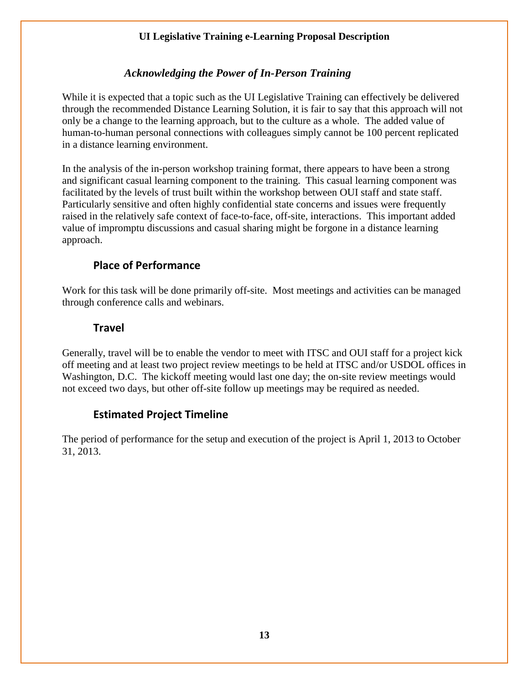## *Self-Paced e-Learning*

The solution provider must know how to effectively utilize software such as Adobe Presenter, Articulate, or other comparable SCORM compliant development tools that utilize PowerPoint with audio narrative and interactions to deliver the core content. The provider will use these tools combined with a good sense of e-Learning design to facilitate conversion of existing slides and audio transcripts into engaging self-paced e-Learning as appropriate.

## *Virtual Classroom Design, Moderation and Facilitation Coaching*

The solution provider must have the ability to utilize PowerPoint to design engaging virtual classroom presentations that highlight key learning content and feature relevant interactions, such as polling, breakout room activities, use of a chat feature, and Q&A opportunities. The solution provider should also have the technical expertise to lend guidance around maximizing the capabilities of the virtual classroom platform (such as document and file sharing), address questions and concerns regarding connectivity and anonymity, and detail the advantages and disadvantages of recording live sessions so that they may be accessed by learners following the scheduled event.

## *Online Discussion Forums Expertise*

The solution provider should be well versed in the value of discussion forums as an online means for SMEs to prepare and post questions to participants, and bridge communication and learning between distance learning sessions.

The provider should be able to clearly articulate the role of SMEs in the development of discussion forum topics (SMEs are required to dedicate small windows of time to posting questions on the forum, and reading and responding to comments and questions that participants post in response), as well as the merits of dedicating a forum moderator to review and approve questions and comments posed by participants before they are posted for full view.

There is an existing online forum available on the UI CoP, which is part of the Workforce3One portal. This UI CoP is password protected and is not open to the public. This forum may be explored for use as part of the Legislative Training offering.

## *Potential Investment (Production Costs)*

In developing cost estimates, proposed vendors may consider estimates on the "mix" of learning content, which, taken together represent the over-all PS outlined above.

The use of discussion forums to support the training solution could leverage an existing infrastructure (such as the UI CoP or a similarly featured site), vendors should consider this in preparing cost estimates for this project.

Cost estimates may be based on the following assumptions: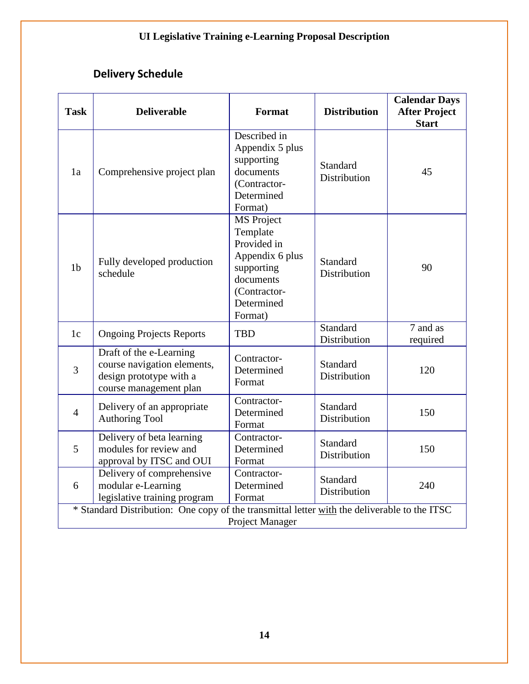- **E-Learning Design**: Self-paced e-Learning modules should be designed in Adobe Presenter (or its equivalent). The use of this rapid design software carries with it multiple advantages, including:
	- o More efficient, faster production cycle;
	- o Flexible delivery options (website, email, inside a Learning Management System);
	- o Compliance with 508 and SCORM standards; and
	- o Easy navigation, familiar to many USDOL customers already.

The anticipated design could use substantial flash and other animations, be highly interactive and possibly imbed the video assets DOL has in inventory. (The video is suitable for web delivery and may be used, as intended here as a first step, stand-alone piece of the curriculum, with minimal effort in preparing it for delivery on the web.)

- **Reading Materials**: The Vendor should carefully consider the Legislative Training Manual, but in doing so, anticipate that these segments of the manual will be extracted and edited for this training application. As such, a vendor would be required to:
	- o Identify selected elements of the Manual for reading activities for learners;
	- o Revise and edit said elements adding learning aids, key learning points, and other exercises and activities to make the content more suitable for learning and less "technical in nature."
	- o Add links, audio podcasts or other learning assets to support the learning objectives of the course as required.
- **Virtual Classroom Design**: The virtual (synchronous) sessions specified in this learning solution are designed to foster the learning that has been done in other media (e-Learning or reading resources) by adding a true "virtual classroom" to the learning environment. As such, these sessions will allow subject matter experts from OUI to engage with learners to answer questions, check for clarity in learning and advance the learning through read world experiences they can share. As such, these sessions are not designed as "information dumps" or one-way communications. Therefore, the vendor may provide professional instruction design by experienced virtual classroom professionals – enabling design elements that will help subject matter experts make the most of the environment and maximize interactions.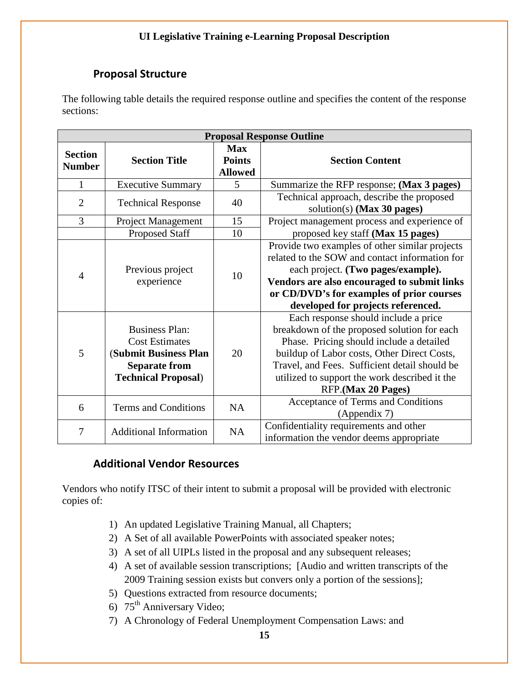## *Acknowledging the Power of In-Person Training*

While it is expected that a topic such as the UI Legislative Training can effectively be delivered through the recommended Distance Learning Solution, it is fair to say that this approach will not only be a change to the learning approach, but to the culture as a whole. The added value of human-to-human personal connections with colleagues simply cannot be 100 percent replicated in a distance learning environment.

In the analysis of the in-person workshop training format, there appears to have been a strong and significant casual learning component to the training. This casual learning component was facilitated by the levels of trust built within the workshop between OUI staff and state staff. Particularly sensitive and often highly confidential state concerns and issues were frequently raised in the relatively safe context of face-to-face, off-site, interactions. This important added value of impromptu discussions and casual sharing might be forgone in a distance learning approach.

## **Place of Performance**

Work for this task will be done primarily off-site. Most meetings and activities can be managed through conference calls and webinars.

## **Travel**

Generally, travel will be to enable the vendor to meet with ITSC and OUI staff for a project kick off meeting and at least two project review meetings to be held at ITSC and/or USDOL offices in Washington, D.C. The kickoff meeting would last one day; the on-site review meetings would not exceed two days, but other off-site follow up meetings may be required as needed.

## **Estimated Project Timeline**

The period of performance for the setup and execution of the project is April 1, 2013 to October 31, 2013.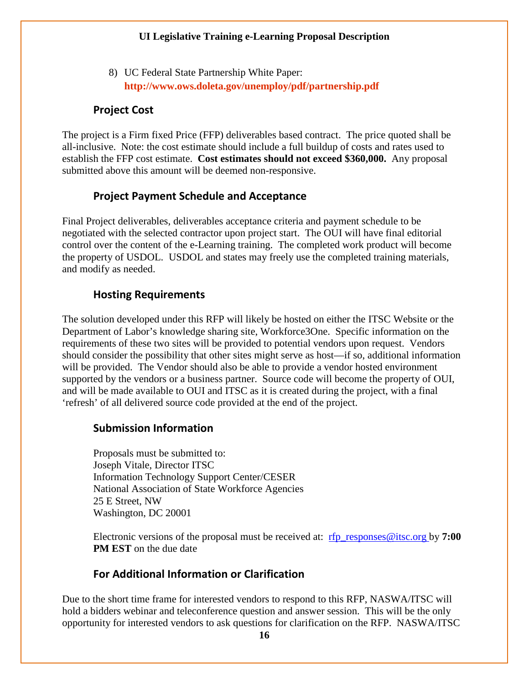# **Delivery Schedule**

| <b>Task</b>    | <b>Deliverable</b>                                                                                          | Format                                                                                                                              | <b>Distribution</b>             | <b>Calendar Days</b><br><b>After Project</b><br><b>Start</b> |
|----------------|-------------------------------------------------------------------------------------------------------------|-------------------------------------------------------------------------------------------------------------------------------------|---------------------------------|--------------------------------------------------------------|
| 1a             | Comprehensive project plan                                                                                  | Described in<br>Appendix 5 plus<br>supporting<br>documents<br>(Contractor-<br>Determined<br>Format)                                 | Standard<br>Distribution        | 45                                                           |
| 1 <sub>b</sub> | Fully developed production<br>schedule                                                                      | <b>MS</b> Project<br>Template<br>Provided in<br>Appendix 6 plus<br>supporting<br>documents<br>(Contractor-<br>Determined<br>Format) | Standard<br>Distribution        | 90                                                           |
| 1 <sub>c</sub> | <b>Ongoing Projects Reports</b>                                                                             | <b>TBD</b>                                                                                                                          | <b>Standard</b><br>Distribution | 7 and as<br>required                                         |
| 3              | Draft of the e-Learning<br>course navigation elements,<br>design prototype with a<br>course management plan | Contractor-<br>Determined<br>Format                                                                                                 | Standard<br>Distribution        | 120                                                          |
| $\overline{4}$ | Delivery of an appropriate<br><b>Authoring Tool</b>                                                         | Contractor-<br>Determined<br>Format                                                                                                 | Standard<br>Distribution        | 150                                                          |
| 5              | Delivery of beta learning<br>modules for review and<br>approval by ITSC and OUI                             | Contractor-<br>Determined<br>Format                                                                                                 | Standard<br>Distribution        | 150                                                          |
| 6              | Delivery of comprehensive<br>modular e-Learning<br>legislative training program                             | Contractor-<br>Determined<br>Format                                                                                                 | Standard<br>Distribution        | 240                                                          |
|                | * Standard Distribution: One copy of the transmittal letter with the deliverable to the ITSC                | Project Manager                                                                                                                     |                                 |                                                              |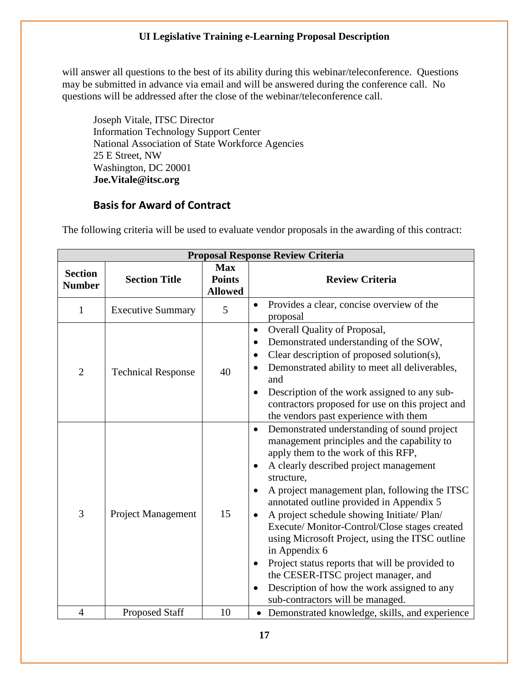## **Proposal Structure**

The following table details the required response outline and specifies the content of the response sections:

|                                 | <b>Proposal Response Outline</b>                                                                                              |                                               |                                                                                                                                                                                                                                                                                                        |  |  |
|---------------------------------|-------------------------------------------------------------------------------------------------------------------------------|-----------------------------------------------|--------------------------------------------------------------------------------------------------------------------------------------------------------------------------------------------------------------------------------------------------------------------------------------------------------|--|--|
| <b>Section</b><br><b>Number</b> | <b>Section Title</b>                                                                                                          | <b>Max</b><br><b>Points</b><br><b>Allowed</b> | <b>Section Content</b>                                                                                                                                                                                                                                                                                 |  |  |
| 1                               | <b>Executive Summary</b>                                                                                                      | 5                                             | Summarize the RFP response; (Max 3 pages)                                                                                                                                                                                                                                                              |  |  |
| $\overline{2}$                  | <b>Technical Response</b>                                                                                                     | 40                                            | Technical approach, describe the proposed<br>solution(s) (Max 30 pages)                                                                                                                                                                                                                                |  |  |
| 3                               | Project Management                                                                                                            | 15                                            | Project management process and experience of                                                                                                                                                                                                                                                           |  |  |
|                                 | <b>Proposed Staff</b>                                                                                                         | 10                                            | proposed key staff (Max 15 pages)                                                                                                                                                                                                                                                                      |  |  |
| $\overline{4}$                  | Previous project<br>experience                                                                                                | 10                                            | Provide two examples of other similar projects<br>related to the SOW and contact information for<br>each project. (Two pages/example).<br>Vendors are also encouraged to submit links<br>or CD/DVD's for examples of prior courses<br>developed for projects referenced.                               |  |  |
| 5                               | <b>Business Plan:</b><br><b>Cost Estimates</b><br>(Submit Business Plan<br><b>Separate from</b><br><b>Technical Proposal)</b> | 20                                            | Each response should include a price<br>breakdown of the proposed solution for each<br>Phase. Pricing should include a detailed<br>buildup of Labor costs, Other Direct Costs,<br>Travel, and Fees. Sufficient detail should be<br>utilized to support the work described it the<br>RFP.(Max 20 Pages) |  |  |
| 6                               | <b>Terms and Conditions</b>                                                                                                   | <b>NA</b>                                     | Acceptance of Terms and Conditions<br>(Appendix 7)                                                                                                                                                                                                                                                     |  |  |
| 7                               | <b>Additional Information</b>                                                                                                 | <b>NA</b>                                     | Confidentiality requirements and other<br>information the vendor deems appropriate                                                                                                                                                                                                                     |  |  |

## **Additional Vendor Resources**

Vendors who notify ITSC of their intent to submit a proposal will be provided with electronic copies of:

- 1) An updated Legislative Training Manual, all Chapters;
- 2) A Set of all available PowerPoints with associated speaker notes;
- 3) A set of all UIPLs listed in the proposal and any subsequent releases;
- 4) A set of available session transcriptions; [Audio and written transcripts of the 2009 Training session exists but convers only a portion of the sessions];
- 5) Questions extracted from resource documents;
- 6) 75th Anniversary Video;
- 7) A Chronology of Federal Unemployment Compensation Laws: and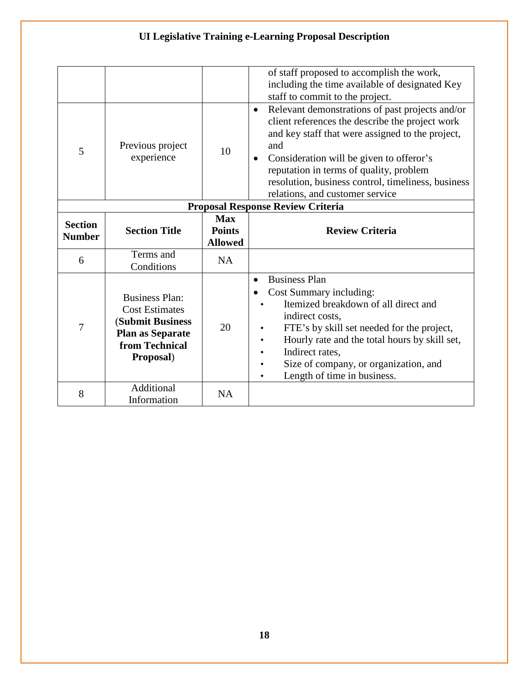8) UC Federal State Partnership White Paper: **<http://www.ows.doleta.gov/unemploy/pdf/partnership.pdf>**

## **Project Cost**

The project is a Firm fixed Price (FFP) deliverables based contract. The price quoted shall be all-inclusive. Note: the cost estimate should include a full buildup of costs and rates used to establish the FFP cost estimate. **Cost estimates should not exceed \$360,000.** Any proposal submitted above this amount will be deemed non-responsive.

## **Project Payment Schedule and Acceptance**

Final Project deliverables, deliverables acceptance criteria and payment schedule to be negotiated with the selected contractor upon project start. The OUI will have final editorial control over the content of the e-Learning training. The completed work product will become the property of USDOL. USDOL and states may freely use the completed training materials, and modify as needed.

## **Hosting Requirements**

The solution developed under this RFP will likely be hosted on either the ITSC Website or the Department of Labor's knowledge sharing site, Workforce3One. Specific information on the requirements of these two sites will be provided to potential vendors upon request. Vendors should consider the possibility that other sites might serve as host—if so, additional information will be provided. The Vendor should also be able to provide a vendor hosted environment supported by the vendors or a business partner. Source code will become the property of OUI, and will be made available to OUI and ITSC as it is created during the project, with a final 'refresh' of all delivered source code provided at the end of the project.

## **Submission Information**

Proposals must be submitted to: Joseph Vitale, Director ITSC Information Technology Support Center/CESER National Association of State Workforce Agencies 25 E Street, NW Washington, DC 20001

Electronic versions of the proposal must be received at: [rfp\\_responses@itsc.org](mailto:rfp_responses@itsc.org) by 5:00 **PM EST** on the due date

## **For Additional Information or Clarification**

Due to the short time frame for interested vendors to respond to this RFP, NASWA/ITSC will hold a bidders webinar and teleconference question and answer session. This will be the only opportunity for interested vendors to ask questions for clarification on the RFP. NASWA/ITSC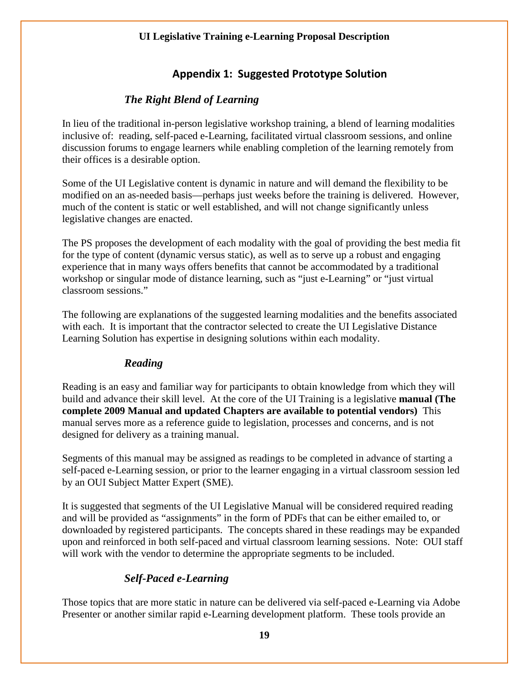will answer all questions to the best of its ability during this webinar/teleconference. Questions may be submitted in advance via email and will be answered during the conference call. No questions will be addressed after the close of the webinar/teleconference call.

Joseph Vitale, ITSC Director Information Technology Support Center National Association of State Workforce Agencies 25 E Street, NW Washington, DC 20001 **[Joe.Vitale@itsc.org](mailto:Joe.Vitale@itsc.org)**

## **Basis for Award of Contract**

The following criteria will be used to evaluate vendor proposals in the awarding of this contract:

|                                 | <b>Proposal Response Review Criteria</b> |                                               |                                                                                                                                                                                                                                                                                                                                                                                                                                                                                                                                                                                                                                                                                                        |  |  |  |
|---------------------------------|------------------------------------------|-----------------------------------------------|--------------------------------------------------------------------------------------------------------------------------------------------------------------------------------------------------------------------------------------------------------------------------------------------------------------------------------------------------------------------------------------------------------------------------------------------------------------------------------------------------------------------------------------------------------------------------------------------------------------------------------------------------------------------------------------------------------|--|--|--|
| <b>Section</b><br><b>Number</b> | <b>Section Title</b>                     | <b>Max</b><br><b>Points</b><br><b>Allowed</b> | <b>Review Criteria</b>                                                                                                                                                                                                                                                                                                                                                                                                                                                                                                                                                                                                                                                                                 |  |  |  |
| 1                               | <b>Executive Summary</b>                 | 5                                             | Provides a clear, concise overview of the<br>$\bullet$<br>proposal                                                                                                                                                                                                                                                                                                                                                                                                                                                                                                                                                                                                                                     |  |  |  |
| $\mathbf{2}$                    | <b>Technical Response</b>                | 40                                            | Overall Quality of Proposal,<br>$\bullet$<br>Demonstrated understanding of the SOW,<br>$\bullet$<br>Clear description of proposed solution(s),<br>٠<br>Demonstrated ability to meet all deliverables,<br>$\bullet$<br>and<br>Description of the work assigned to any sub-<br>contractors proposed for use on this project and<br>the vendors past experience with them                                                                                                                                                                                                                                                                                                                                 |  |  |  |
| 3                               | Project Management                       | 15                                            | Demonstrated understanding of sound project<br>$\bullet$<br>management principles and the capability to<br>apply them to the work of this RFP,<br>A clearly described project management<br>$\bullet$<br>structure,<br>A project management plan, following the ITSC<br>annotated outline provided in Appendix 5<br>A project schedule showing Initiate/ Plan/<br>$\bullet$<br>Execute/Monitor-Control/Close stages created<br>using Microsoft Project, using the ITSC outline<br>in Appendix 6<br>Project status reports that will be provided to<br>$\bullet$<br>the CESER-ITSC project manager, and<br>Description of how the work assigned to any<br>$\bullet$<br>sub-contractors will be managed. |  |  |  |
| $\overline{4}$                  | <b>Proposed Staff</b>                    | 10                                            | • Demonstrated knowledge, skills, and experience                                                                                                                                                                                                                                                                                                                                                                                                                                                                                                                                                                                                                                                       |  |  |  |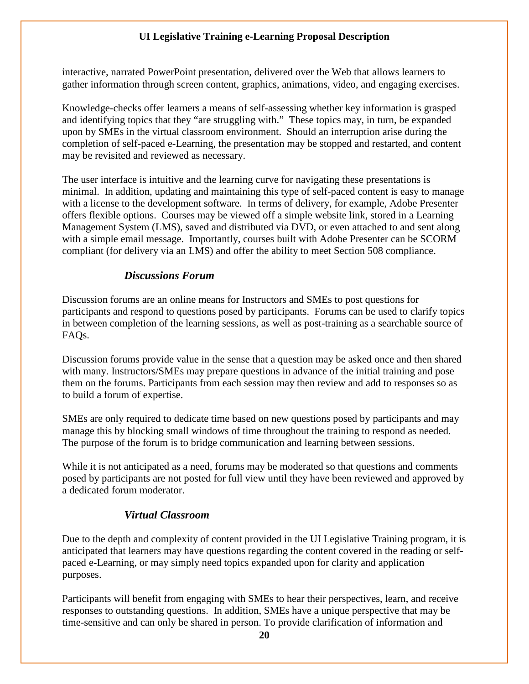|                                 |                                                                                                                               |                                               | of staff proposed to accomplish the work,<br>including the time available of designated Key<br>staff to commit to the project.                                                                                                                                                                                                                                          |
|---------------------------------|-------------------------------------------------------------------------------------------------------------------------------|-----------------------------------------------|-------------------------------------------------------------------------------------------------------------------------------------------------------------------------------------------------------------------------------------------------------------------------------------------------------------------------------------------------------------------------|
| 5                               | Previous project<br>experience                                                                                                | 10                                            | Relevant demonstrations of past projects and/or<br>$\bullet$<br>client references the describe the project work<br>and key staff that were assigned to the project,<br>and<br>Consideration will be given to offeror's<br>$\bullet$<br>reputation in terms of quality, problem<br>resolution, business control, timeliness, business<br>relations, and customer service |
|                                 |                                                                                                                               |                                               | <b>Proposal Response Review Criteria</b>                                                                                                                                                                                                                                                                                                                                |
| <b>Section</b><br><b>Number</b> | <b>Section Title</b>                                                                                                          | <b>Max</b><br><b>Points</b><br><b>Allowed</b> | <b>Review Criteria</b>                                                                                                                                                                                                                                                                                                                                                  |
| 6                               | Terms and<br>Conditions                                                                                                       | <b>NA</b>                                     |                                                                                                                                                                                                                                                                                                                                                                         |
| 7                               | <b>Business Plan:</b><br><b>Cost Estimates</b><br><b>(Submit Business)</b><br>Plan as Separate<br>from Technical<br>Proposal) | 20                                            | <b>Business Plan</b><br>$\bullet$<br>Cost Summary including:<br>Itemized breakdown of all direct and<br>indirect costs,<br>FTE's by skill set needed for the project,<br>Hourly rate and the total hours by skill set,<br>$\bullet$<br>Indirect rates,<br>$\bullet$<br>Size of company, or organization, and<br>Length of time in business.                             |
| 8                               | Additional<br>Information                                                                                                     | <b>NA</b>                                     |                                                                                                                                                                                                                                                                                                                                                                         |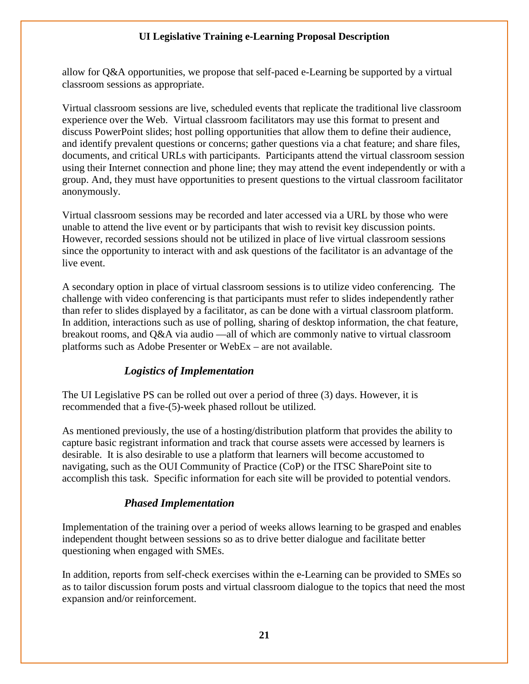# **Appendix 1: Suggested Prototype Solution**

## *The Right Blend of Learning*

In lieu of the traditional in-person legislative workshop training, a blend of learning modalities inclusive of: reading, self-paced e-Learning, facilitated virtual classroom sessions, and online discussion forums to engage learners while enabling completion of the learning remotely from their offices is a desirable option.

Some of the UI Legislative content is dynamic in nature and will demand the flexibility to be modified on an as-needed basis—perhaps just weeks before the training is delivered. However, much of the content is static or well established, and will not change significantly unless legislative changes are enacted.

The PS proposes the development of each modality with the goal of providing the best media fit for the type of content (dynamic versus static), as well as to serve up a robust and engaging experience that in many ways offers benefits that cannot be accommodated by a traditional workshop or singular mode of distance learning, such as "just e-Learning" or "just virtual classroom sessions."

The following are explanations of the suggested learning modalities and the benefits associated with each. It is important that the contractor selected to create the UI Legislative Distance Learning Solution has expertise in designing solutions within each modality.

## *Reading*

Reading is an easy and familiar way for participants to obtain knowledge from which they will build and advance their skill level. At the core of the UI Training is a legislative **manual (The complete 2009 Manual and updated Chapters are available to potential vendors)** This manual serves more as a reference guide to legislation, processes and concerns, and is not designed for delivery as a training manual.

Segments of this manual may be assigned as readings to be completed in advance of starting a self-paced e-Learning session, or prior to the learner engaging in a virtual classroom session led by an OUI Subject Matter Expert (SME).

It is suggested that segments of the UI Legislative Manual will be considered required reading and will be provided as "assignments" in the form of PDFs that can be either emailed to, or downloaded by registered participants. The concepts shared in these readings may be expanded upon and reinforced in both self-paced and virtual classroom learning sessions. Note: OUI staff will work with the vendor to determine the appropriate segments to be included.

## *Self-Paced e-Learning*

Those topics that are more static in nature can be delivered via self-paced e-Learning via Adobe Presenter or another similar rapid e-Learning development platform. These tools provide an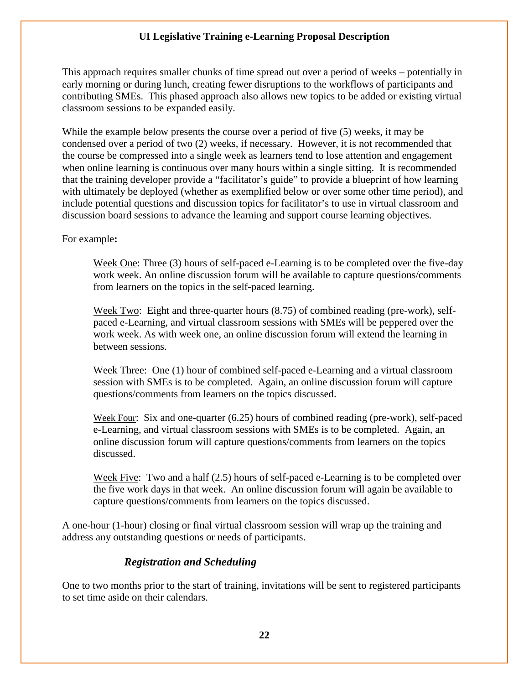interactive, narrated PowerPoint presentation, delivered over the Web that allows learners to gather information through screen content, graphics, animations, video, and engaging exercises.

Knowledge-checks offer learners a means of self-assessing whether key information is grasped and identifying topics that they "are struggling with." These topics may, in turn, be expanded upon by SMEs in the virtual classroom environment. Should an interruption arise during the completion of self-paced e-Learning, the presentation may be stopped and restarted, and content may be revisited and reviewed as necessary.

The user interface is intuitive and the learning curve for navigating these presentations is minimal. In addition, updating and maintaining this type of self-paced content is easy to manage with a license to the development software. In terms of delivery, for example, Adobe Presenter offers flexible options. Courses may be viewed off a simple website link, stored in a Learning Management System (LMS), saved and distributed via DVD, or even attached to and sent along with a simple email message. Importantly, courses built with Adobe Presenter can be SCORM compliant (for delivery via an LMS) and offer the ability to meet Section 508 compliance.

## *Discussions Forum*

Discussion forums are an online means for Instructors and SMEs to post questions for participants and respond to questions posed by participants. Forums can be used to clarify topics in between completion of the learning sessions, as well as post-training as a searchable source of FAQs.

Discussion forums provide value in the sense that a question may be asked once and then shared with many. Instructors/SMEs may prepare questions in advance of the initial training and pose them on the forums. Participants from each session may then review and add to responses so as to build a forum of expertise.

SMEs are only required to dedicate time based on new questions posed by participants and may manage this by blocking small windows of time throughout the training to respond as needed. The purpose of the forum is to bridge communication and learning between sessions.

While it is not anticipated as a need, forums may be moderated so that questions and comments posed by participants are not posted for full view until they have been reviewed and approved by a dedicated forum moderator.

#### *Virtual Classroom*

Due to the depth and complexity of content provided in the UI Legislative Training program, it is anticipated that learners may have questions regarding the content covered in the reading or selfpaced e-Learning, or may simply need topics expanded upon for clarity and application purposes.

Participants will benefit from engaging with SMEs to hear their perspectives, learn, and receive responses to outstanding questions. In addition, SMEs have a unique perspective that may be time-sensitive and can only be shared in person. To provide clarification of information and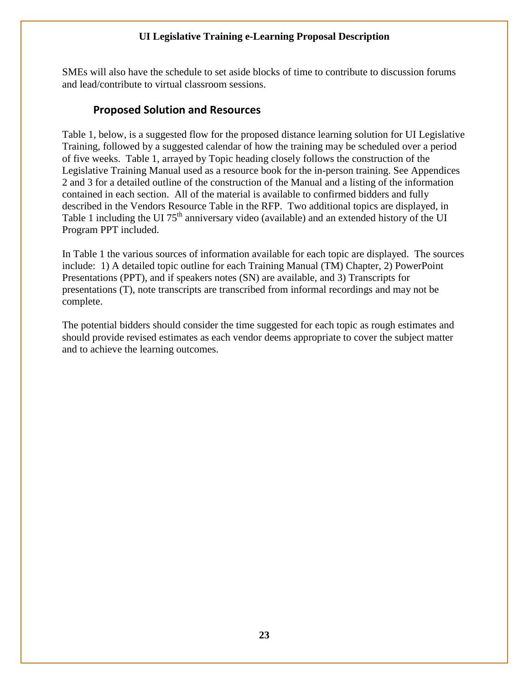allow for Q&A opportunities, we propose that self-paced e-Learning be supported by a virtual classroom sessions as appropriate.

Virtual classroom sessions are live, scheduled events that replicate the traditional live classroom experience over the Web. Virtual classroom facilitators may use this format to present and discuss PowerPoint slides; host polling opportunities that allow them to define their audience, and identify prevalent questions or concerns; gather questions via a chat feature; and share files, documents, and critical URLs with participants. Participants attend the virtual classroom session using their Internet connection and phone line; they may attend the event independently or with a group. And, they must have opportunities to present questions to the virtual classroom facilitator anonymously.

Virtual classroom sessions may be recorded and later accessed via a URL by those who were unable to attend the live event or by participants that wish to revisit key discussion points. However, recorded sessions should not be utilized in place of live virtual classroom sessions since the opportunity to interact with and ask questions of the facilitator is an advantage of the live event.

A secondary option in place of virtual classroom sessions is to utilize video conferencing. The challenge with video conferencing is that participants must refer to slides independently rather than refer to slides displayed by a facilitator, as can be done with a virtual classroom platform. In addition, interactions such as use of polling, sharing of desktop information, the chat feature, breakout rooms, and Q&A via audio —all of which are commonly native to virtual classroom platforms such as Adobe Presenter or WebEx – are not available.

## *Logistics of Implementation*

The UI Legislative PS can be rolled out over a period of three (3) days. However, it is recommended that a five-(5)-week phased rollout be utilized.

As mentioned previously, the use of a hosting/distribution platform that provides the ability to capture basic registrant information and track that course assets were accessed by learners is desirable. It is also desirable to use a platform that learners will become accustomed to navigating, such as the OUI Community of Practice (CoP) or the ITSC SharePoint site to accomplish this task. Specific information for each site will be provided to potential vendors.

## *Phased Implementation*

Implementation of the training over a period of weeks allows learning to be grasped and enables independent thought between sessions so as to drive better dialogue and facilitate better questioning when engaged with SMEs.

In addition, reports from self-check exercises within the e-Learning can be provided to SMEs so as to tailor discussion forum posts and virtual classroom dialogue to the topics that need the most expansion and/or reinforcement.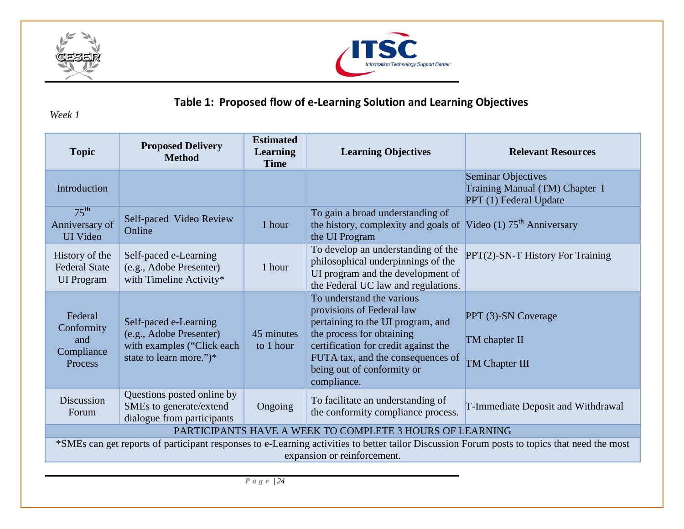This approach requires smaller chunks of time spread out over a period of weeks – potentially in early morning or during lunch, creating fewer disruptions to the workflows of participants and contributing SMEs. This phased approach also allows new topics to be added or existing virtual classroom sessions to be expanded easily.

While the example below presents the course over a period of five (5) weeks, it may be condensed over a period of two (2) weeks, if necessary. However, it is not recommended that the course be compressed into a single week as learners tend to lose attention and engagement when online learning is continuous over many hours within a single sitting. It is recommended that the training developer provide a "facilitator's guide" to provide a blueprint of how learning with ultimately be deployed (whether as exemplified below or over some other time period), and include potential questions and discussion topics for facilitator's to use in virtual classroom and discussion board sessions to advance the learning and support course learning objectives.

For example**:** 

Week One: Three (3) hours of self-paced e-Learning is to be completed over the five-day work week. An online discussion forum will be available to capture questions/comments from learners on the topics in the self-paced learning.

Week Two: Eight and three-quarter hours (8.75) of combined reading (pre-work), selfpaced e-Learning, and virtual classroom sessions with SMEs will be peppered over the work week. As with week one, an online discussion forum will extend the learning in between sessions.

Week Three: One (1) hour of combined self-paced e-Learning and a virtual classroom session with SMEs is to be completed. Again, an online discussion forum will capture questions/comments from learners on the topics discussed.

Week Four: Six and one-quarter (6.25) hours of combined reading (pre-work), self-paced e-Learning, and virtual classroom sessions with SMEs is to be completed. Again, an online discussion forum will capture questions/comments from learners on the topics discussed.

Week Five: Two and a half (2.5) hours of self-paced e-Learning is to be completed over the five work days in that week. An online discussion forum will again be available to capture questions/comments from learners on the topics discussed.

A one-hour (1-hour) closing or final virtual classroom session will wrap up the training and address any outstanding questions or needs of participants.

#### *Registration and Scheduling*

One to two months prior to the start of training, invitations will be sent to registered participants to set time aside on their calendars.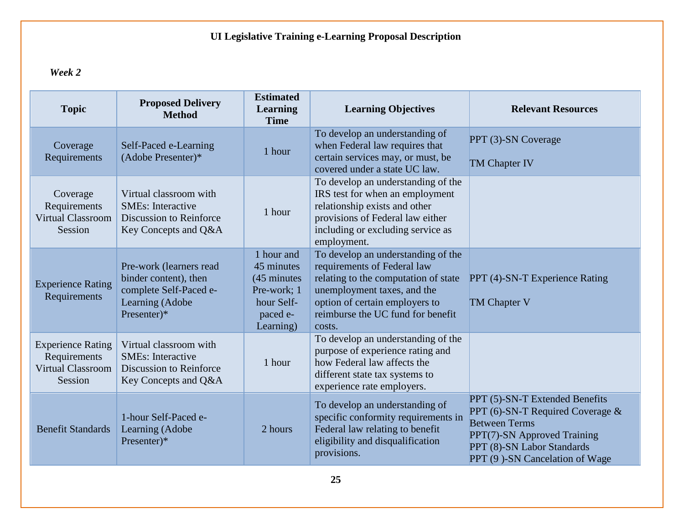SMEs will also have the schedule to set aside blocks of time to contribute to discussion forums and lead/contribute to virtual classroom sessions.

## **Proposed Solution and Resources**

Table 1, below, is a suggested flow for the proposed distance learning solution for UI Legislative Training, followed by a suggested calendar of how the training may be scheduled over a period of five weeks. Table 1, arrayed by Topic heading closely follows the construction of the Legislative Training Manual used as a resource book for the in-person training. See Appendices 2 and 3 for a detailed outline of the construction of the Manual and a listing of the information contained in each section. All of the material is available to confirmed bidders and fully described in the Vendors Resource Table in the RFP. Two additional topics are displayed, in Table 1 including the UI  $75<sup>th</sup>$  anniversary video (available) and an extended history of the UI Program PPT included.

In Table 1 the various sources of information available for each topic are displayed. The sources include: 1) A detailed topic outline for each Training Manual (TM) Chapter, 2) PowerPoint Presentations (PPT), and if speakers notes (SN) are available, and 3) Transcripts for presentations (T), note transcripts are transcribed from informal recordings and may not be complete.

The potential bidders should consider the time suggested for each topic as rough estimates and should provide revised estimates as each vendor deems appropriate to cover the subject matter and to achieve the learning outcomes.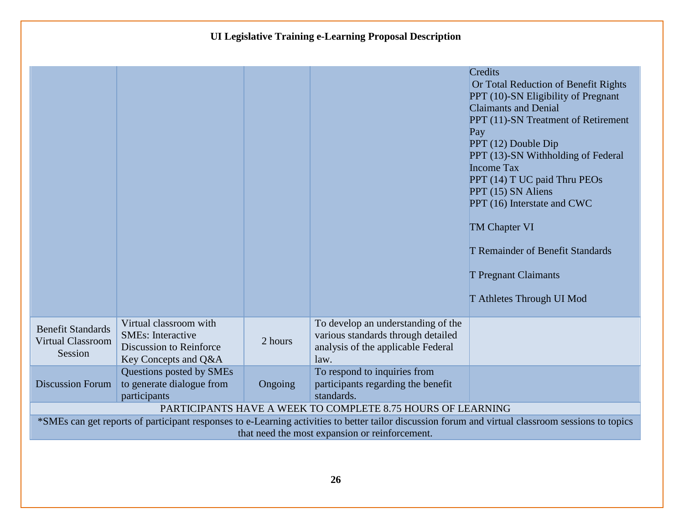



# **Table 1: Proposed flow of e-Learning Solution and Learning Objectives**

*Week 1*

| <b>Topic</b>                                                | <b>Proposed Delivery</b><br><b>Method</b>                                                                 | <b>Estimated</b><br>Learning<br><b>Time</b> | <b>Learning Objectives</b>                                                                                                                                                                                                                         | <b>Relevant Resources</b>                                                                                                                    |
|-------------------------------------------------------------|-----------------------------------------------------------------------------------------------------------|---------------------------------------------|----------------------------------------------------------------------------------------------------------------------------------------------------------------------------------------------------------------------------------------------------|----------------------------------------------------------------------------------------------------------------------------------------------|
| Introduction                                                |                                                                                                           |                                             |                                                                                                                                                                                                                                                    | <b>Seminar Objectives</b><br>Training Manual (TM) Chapter I<br>PPT (1) Federal Update                                                        |
| $75^{\text{th}}$<br>Anniversary of<br><b>UI</b> Video       | Self-paced Video Review<br>Online                                                                         | 1 hour                                      | To gain a broad understanding of<br>the history, complexity and goals of $Video (1) 75th Anniversary$<br>the UI Program                                                                                                                            |                                                                                                                                              |
| History of the<br><b>Federal State</b><br><b>UI</b> Program | Self-paced e-Learning<br>(e.g., Adobe Presenter)<br>with Timeline Activity*                               | 1 hour                                      | To develop an understanding of the<br>philosophical underpinnings of the<br>UI program and the development of<br>the Federal UC law and regulations.                                                                                               | PPT(2)-SN-T History For Training                                                                                                             |
| Federal<br>Conformity<br>and<br>Compliance<br>Process       | Self-paced e-Learning<br>(e.g., Adobe Presenter)<br>with examples ("Click each<br>state to learn more.")* | 45 minutes<br>to 1 hour                     | To understand the various<br>provisions of Federal law<br>pertaining to the UI program, and<br>the process for obtaining<br>certification for credit against the<br>FUTA tax, and the consequences of<br>being out of conformity or<br>compliance. | PPT (3)-SN Coverage<br>TM chapter II<br><b>TM Chapter III</b>                                                                                |
| <b>Discussion</b><br>Forum                                  | Questions posted online by<br>SMEs to generate/extend<br>dialogue from participants                       | Ongoing                                     | To facilitate an understanding of<br>the conformity compliance process.                                                                                                                                                                            | T-Immediate Deposit and Withdrawal                                                                                                           |
|                                                             |                                                                                                           |                                             | PARTICIPANTS HAVE A WEEK TO COMPLETE 3 HOURS OF LEARNING                                                                                                                                                                                           |                                                                                                                                              |
|                                                             |                                                                                                           |                                             | expansion or reinforcement.                                                                                                                                                                                                                        | *SMEs can get reports of participant responses to e-Learning activities to better tailor Discussion Forum posts to topics that need the most |
|                                                             |                                                                                                           |                                             |                                                                                                                                                                                                                                                    |                                                                                                                                              |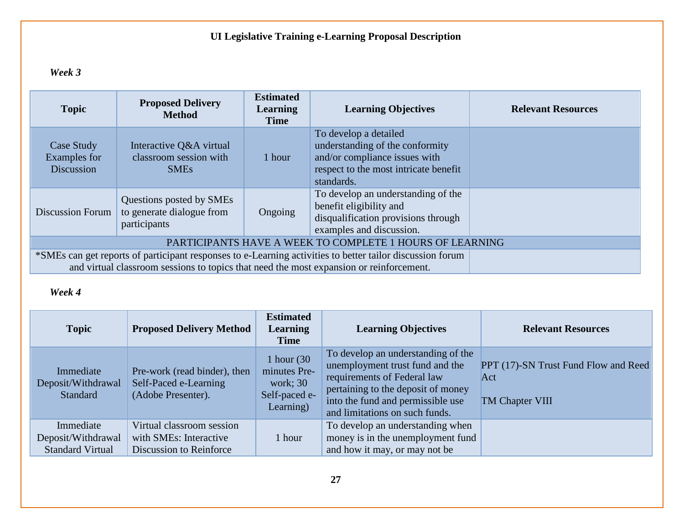# *Week 2*

| <b>Topic</b>                                                                    | <b>Proposed Delivery</b><br><b>Method</b>                                                                    | <b>Estimated</b><br>Learning<br><b>Time</b>                                                    | <b>Learning Objectives</b>                                                                                                                                                                                                | <b>Relevant Resources</b>                                                                                                                                                                   |
|---------------------------------------------------------------------------------|--------------------------------------------------------------------------------------------------------------|------------------------------------------------------------------------------------------------|---------------------------------------------------------------------------------------------------------------------------------------------------------------------------------------------------------------------------|---------------------------------------------------------------------------------------------------------------------------------------------------------------------------------------------|
| Coverage<br>Requirements                                                        | Self-Paced e-Learning<br>(Adobe Presenter)*                                                                  | 1 hour                                                                                         | To develop an understanding of<br>when Federal law requires that<br>certain services may, or must, be<br>covered under a state UC law.                                                                                    | PPT (3)-SN Coverage<br><b>TM Chapter IV</b>                                                                                                                                                 |
| Coverage<br>Requirements<br><b>Virtual Classroom</b><br>Session                 | Virtual classroom with<br><b>SMEs:</b> Interactive<br>Discussion to Reinforce<br>Key Concepts and Q&A        | 1 hour                                                                                         | To develop an understanding of the<br>IRS test for when an employment<br>relationship exists and other<br>provisions of Federal law either<br>including or excluding service as<br>employment.                            |                                                                                                                                                                                             |
| <b>Experience Rating</b><br>Requirements                                        | Pre-work (learners read<br>binder content), then<br>complete Self-Paced e-<br>Learning (Adobe<br>Presenter)* | 1 hour and<br>45 minutes<br>(45 minutes)<br>Pre-work; 1<br>hour Self-<br>paced e-<br>Learning) | To develop an understanding of the<br>requirements of Federal law<br>relating to the computation of state<br>unemployment taxes, and the<br>option of certain employers to<br>reimburse the UC fund for benefit<br>costs. | PPT (4)-SN-T Experience Rating<br><b>TM Chapter V</b>                                                                                                                                       |
| <b>Experience Rating</b><br>Requirements<br><b>Virtual Classroom</b><br>Session | Virtual classroom with<br><b>SMEs:</b> Interactive<br>Discussion to Reinforce<br>Key Concepts and Q&A        | 1 hour                                                                                         | To develop an understanding of the<br>purpose of experience rating and<br>how Federal law affects the<br>different state tax systems to<br>experience rate employers.                                                     |                                                                                                                                                                                             |
| <b>Benefit Standards</b>                                                        | 1-hour Self-Paced e-<br>Learning (Adobe<br>Presenter)*                                                       | 2 hours                                                                                        | To develop an understanding of<br>specific conformity requirements in<br>Federal law relating to benefit<br>eligibility and disqualification<br>provisions.                                                               | PPT (5)-SN-T Extended Benefits<br>PPT (6)-SN-T Required Coverage $&$<br><b>Between Terms</b><br>PPT(7)-SN Approved Training<br>PPT (8)-SN Labor Standards<br>PPT (9)-SN Cancelation of Wage |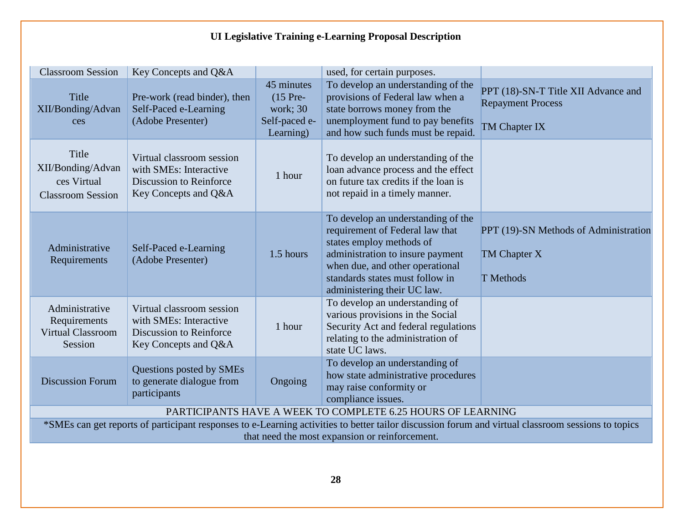#### Information Technology Support Center (11SC)

#### **Request for Proposal:**

#### **Transformation of the Federal-State Unemployment Compensation** Legislative Seminar into an e-Learning Training Program

The National Association of State Workforce Agencies (NASWA), Information Technology Support Center (ITSC) is seeking to procure the services of a contractor through a firm fixed price contract to develop and implement an e-Learning Training Program to replace a week long in-person Unemployment Insurance Legislative Training Seminar.

The U.S. Department of Labor's (USDOL), Employment and Training Administration (ETA)'s Office of Unemployment Insurance (OUI) is required to ensure conformity and compliance of state unemployment compensation law, regulations, rules, and operations with Federal law. Ongoing training and technical assistance are the key strategies to ensure this federal function is accomplished. One of the strategies that OUI has in place is providing technical assistance to state agency and legislative staff by offering a bi-annual in-person legislative training seminar. Budgets for state staff to travel for in-person training have been limited and OUI is looking to develop an e-Learning option to provide this training remotely using web technology to replace the existing in-person legislative training seminar.

Notice of Intent to Submit a Proposal: Vendors who intend to submit a proposal in response to this RFP should submit an email to rfp\_responses@itsc.org indicating this intent. The notice should include the following information:

- x The company or individual's name (as appropriate),
- x Contact person's name and title, and
- x Contact person's email address and telephone number.

Notice of Intent to Submit a Proposal creates no obligation and is not a prerequisite for submitting a proposal however, it is necessary to ensure all potential bidders receive access to the additional information listed in the RFP on page 15, Additional Vendor Resources

The RFP consists of the following documents:

RFP: Transformation of the Federal-State Unemployment Compensation Legislative Seminar into an e-Learning Training Program **Appendix 1:** Suggested Prototype Solution Appendix 2: Outline of Material in Legislative Training Manual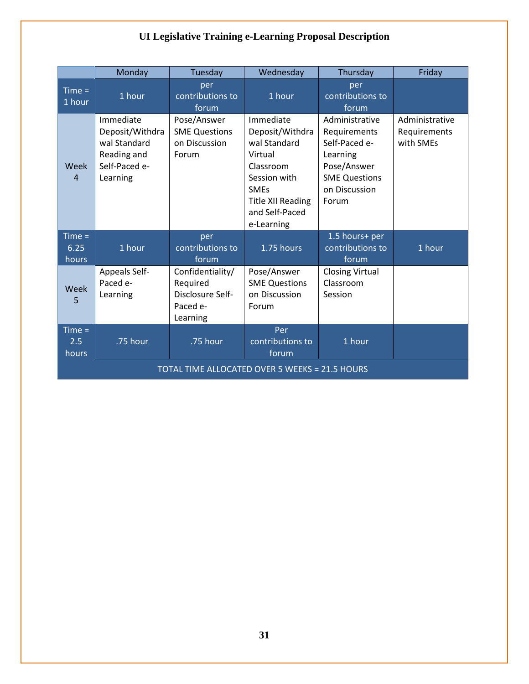# *Week 5*

| <b>Topic</b>                                                                             | <b>Proposed</b><br><b>Delivery Method</b>                                                         | <b>Estimated</b><br>Learning<br>Time | <b>Learning Objectives</b>                                                                                                                                                                                          | <b>Relevant Resources</b>                                       |
|------------------------------------------------------------------------------------------|---------------------------------------------------------------------------------------------------|--------------------------------------|---------------------------------------------------------------------------------------------------------------------------------------------------------------------------------------------------------------------|-----------------------------------------------------------------|
| Appeals                                                                                  | Self-Paced e-<br>Learning (Adobe<br>Presenter)                                                    | 45 minutes                           | To develop an understanding of<br>the requirement in Federal law<br>that state law must provide the<br>right to an unemployment<br>appeal and the requirements<br>and operational standards<br>relating to appeals. | $PPT(20)$ -SN-T Appeals 2009<br><b>TM Chapter XI</b>            |
| Confidentiality/Required<br><b>Disclosure</b>                                            | Self-Paced e-<br>Learning (Adobe<br>Presenter)                                                    | 45 minutes                           | To develop an understanding of<br>the requirement in Federal law<br>that UC information is<br>confidential, and may only be<br>disclosed as authorized in<br>Federal and state law.                                 | PPT $(21)$ -SN-T Confidentiality & Disclosure<br>TM Chapter XII |
| <b>UI</b> Legislative Training<br>Wrap Up/Closing<br><b>Virtual Classroom</b><br>Session | Discussion with<br>SME <sub>s</sub> ,<br>clarification of<br>questions and<br>closure of training | 1 hour                               | To develop an understanding of<br>how the conformity and<br>compliance requirements of<br>Federal law affect review of<br>state legislation.<br>PARTICIPANTS HAVE A WEEK TO COMPLETE 2.5 HOURS OF LEARNING          |                                                                 |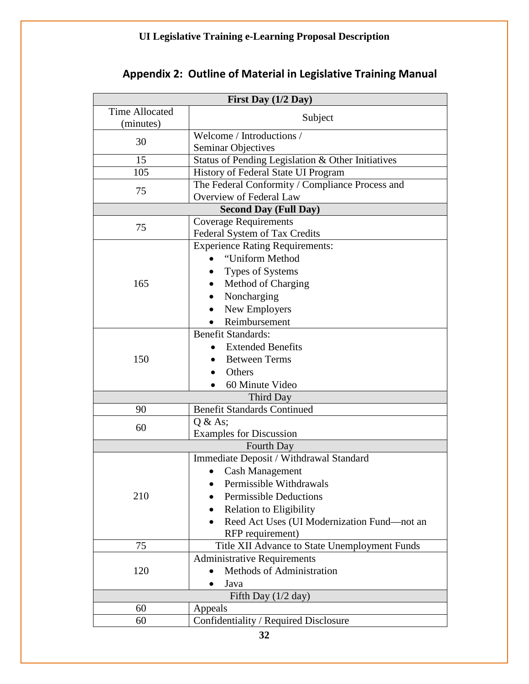



|                                 | Monday                                                                                                                             | Tuesday                                                                                                                                                             | Wednesday                                                                                                                                       | Thursday                                                                  | Friday                                                                                                                                                      |
|---------------------------------|------------------------------------------------------------------------------------------------------------------------------------|---------------------------------------------------------------------------------------------------------------------------------------------------------------------|-------------------------------------------------------------------------------------------------------------------------------------------------|---------------------------------------------------------------------------|-------------------------------------------------------------------------------------------------------------------------------------------------------------|
| Week<br>$\overline{1}$          | History of the<br><b>Federal State UI</b><br>Program Video and<br>Self-Paced e-<br>Learning                                        | Pose/Answer<br><b>SME Questions</b><br>on Discussion<br>Forum                                                                                                       | Federal<br>Conformity and<br>Compliance<br>Process                                                                                              | Pose/Answer<br><b>SME Questions</b><br>on Discussion<br>Forum             |                                                                                                                                                             |
| $Time =$                        |                                                                                                                                    | Per                                                                                                                                                                 |                                                                                                                                                 | Per                                                                       |                                                                                                                                                             |
| $\overline{3}$                  | 2 hour                                                                                                                             | contributions<br>to forum                                                                                                                                           | 1 hour                                                                                                                                          | contributions to                                                          |                                                                                                                                                             |
| hours<br>Week<br>$\overline{2}$ | Coverage<br>Requirements Self-<br>Paced e-Learning<br>Pose/Answer SME<br>Questions on<br><b>Discussion Forum</b>                   | Coverage<br>Requirements<br>Virtual<br>Classroom<br>Session with<br><b>SMEs</b><br>Experience<br>Rating<br>Requirements<br>Reading and<br>Self-paced e-<br>Learning | <b>Experience Rating</b><br>Requirements<br>Virtual Classroom<br>Session with SMEs                                                              | forum<br><b>Benefits</b><br>Standards Self-<br>Paced e-<br>Learning       | <b>Benefits</b><br><b>Standards</b><br>Virtual<br>Classroom<br>Session with<br><b>SMEs</b><br>Pose/Answer<br><b>SME Questions</b><br>on Discussion<br>Forum |
| $Time =$<br>8.75<br>hours       | $1$ hour + per<br>contributions to<br>forum                                                                                        | 2.75 hours                                                                                                                                                          | $1$ hour                                                                                                                                        | 2 hours                                                                   | $2$ hours + per<br>contributions to<br>forum                                                                                                                |
| Week<br>3                       | Conformity and/or<br>compliance issues<br>with respect to the<br>most intricate<br>benefit standards.<br>Self-Paced e-<br>Learning | Pose/Answer<br><b>SME Questions</b><br>on Discussion<br>Forum                                                                                                       | Conformity and/or<br>compliance issues<br>with respect to<br>the most intricate<br>benefit standards.<br>Virtual Classroom<br>Session with SMEs | Pose/Answer<br><b>SME Questions</b><br>on Discussion<br><b>Forum SMEs</b> |                                                                                                                                                             |

# **Draft 5-Week Prototype Calendar**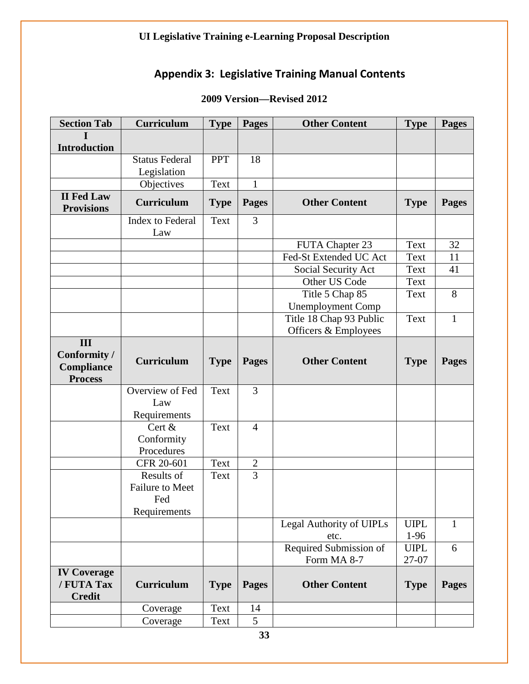|                           | Monday                                                                                   | Tuesday                                                                  | Wednesday                                                                                                                                                       | Thursday                                                                                                                     | Friday                                      |
|---------------------------|------------------------------------------------------------------------------------------|--------------------------------------------------------------------------|-----------------------------------------------------------------------------------------------------------------------------------------------------------------|------------------------------------------------------------------------------------------------------------------------------|---------------------------------------------|
| $Time =$<br>1 hour        | $1$ hour                                                                                 | per<br>contributions to<br>forum                                         | 1 hour                                                                                                                                                          | per<br>contributions to<br>forum                                                                                             |                                             |
| Week<br>$\overline{4}$    | Immediate<br>Deposit/Withdra<br>wal Standard<br>Reading and<br>Self-Paced e-<br>Learning | Pose/Answer<br><b>SME Questions</b><br>on Discussion<br>Forum            | Immediate<br>Deposit/Withdra<br>wal Standard<br>Virtual<br>Classroom<br>Session with<br><b>SMEs</b><br><b>Title XII Reading</b><br>and Self-Paced<br>e-Learning | Administrative<br>Requirements<br>Self-Paced e-<br>Learning<br>Pose/Answer<br><b>SME Questions</b><br>on Discussion<br>Forum | Administrative<br>Requirements<br>with SMEs |
| $Time =$<br>6.25<br>hours | 1 hour                                                                                   | per<br>contributions to<br>forum                                         | 1.75 hours                                                                                                                                                      | 1.5 hours+ per<br>contributions to<br>forum                                                                                  | 1 hour                                      |
| Week<br>5                 | <b>Appeals Self-</b><br>Paced e-<br>Learning                                             | Confidentiality/<br>Required<br>Disclosure Self-<br>Paced e-<br>Learning | Pose/Answer<br><b>SME Questions</b><br>on Discussion<br>Forum                                                                                                   | <b>Closing Virtual</b><br>Classroom<br>Session                                                                               |                                             |
| $Time =$<br>2.5<br>hours  | .75 hour                                                                                 | .75 hour                                                                 | Per<br>contributions to<br>forum                                                                                                                                | 1 hour                                                                                                                       |                                             |
|                           |                                                                                          | TOTAL TIME ALLOCATED OVER 5 WEEKS = 21.5 HOURS                           |                                                                                                                                                                 |                                                                                                                              |                                             |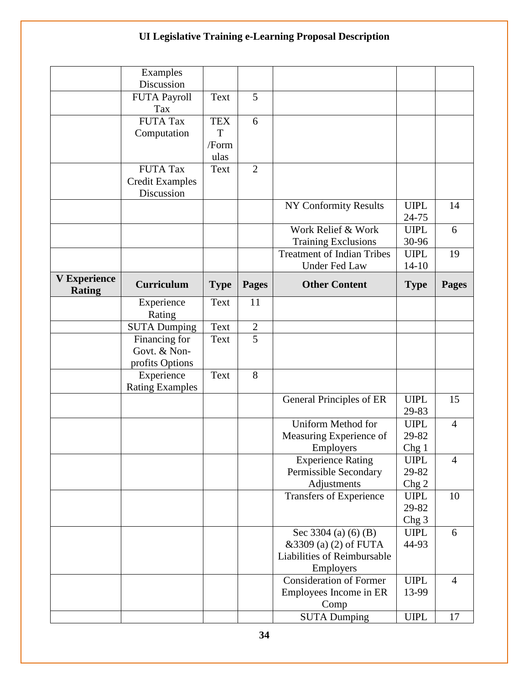| Appendix 2: Outline of Material in Legislative Training Manual |  |  |  |  |  |
|----------------------------------------------------------------|--|--|--|--|--|
|----------------------------------------------------------------|--|--|--|--|--|

| First Day (1/2 Day)                |                                                                            |  |  |  |
|------------------------------------|----------------------------------------------------------------------------|--|--|--|
| <b>Time Allocated</b><br>(minutes) | Subject                                                                    |  |  |  |
| 30                                 | Welcome / Introductions /                                                  |  |  |  |
|                                    | <b>Seminar Objectives</b>                                                  |  |  |  |
| 15                                 | Status of Pending Legislation & Other Initiatives                          |  |  |  |
| 105                                | History of Federal State UI Program                                        |  |  |  |
| 75                                 | The Federal Conformity / Compliance Process and<br>Overview of Federal Law |  |  |  |
|                                    | <b>Second Day (Full Day)</b>                                               |  |  |  |
|                                    | <b>Coverage Requirements</b>                                               |  |  |  |
| 75                                 | Federal System of Tax Credits                                              |  |  |  |
|                                    | <b>Experience Rating Requirements:</b>                                     |  |  |  |
|                                    | "Uniform Method                                                            |  |  |  |
|                                    | Types of Systems                                                           |  |  |  |
| 165                                | Method of Charging                                                         |  |  |  |
|                                    | Noncharging                                                                |  |  |  |
|                                    | New Employers<br>$\bullet$                                                 |  |  |  |
|                                    | Reimbursement                                                              |  |  |  |
|                                    | <b>Benefit Standards:</b>                                                  |  |  |  |
|                                    | <b>Extended Benefits</b>                                                   |  |  |  |
| 150                                | <b>Between Terms</b><br>$\bullet$                                          |  |  |  |
|                                    | Others                                                                     |  |  |  |
|                                    | 60 Minute Video                                                            |  |  |  |
|                                    | Third Day                                                                  |  |  |  |
| 90                                 | <b>Benefit Standards Continued</b>                                         |  |  |  |
|                                    | Q & As;                                                                    |  |  |  |
| 60                                 | <b>Examples for Discussion</b>                                             |  |  |  |
|                                    | Fourth Day                                                                 |  |  |  |
|                                    | Immediate Deposit / Withdrawal Standard                                    |  |  |  |
|                                    | <b>Cash Management</b>                                                     |  |  |  |
|                                    | Permissible Withdrawals                                                    |  |  |  |
| 210                                | <b>Permissible Deductions</b>                                              |  |  |  |
|                                    | <b>Relation to Eligibility</b>                                             |  |  |  |
|                                    | Reed Act Uses (UI Modernization Fund-not an                                |  |  |  |
|                                    | RFP requirement)                                                           |  |  |  |
| 75                                 | Title XII Advance to State Unemployment Funds                              |  |  |  |
|                                    | <b>Administrative Requirements</b>                                         |  |  |  |
| 120                                | Methods of Administration                                                  |  |  |  |
|                                    | Java                                                                       |  |  |  |
|                                    | Fifth Day $(1/2 \text{ day})$                                              |  |  |  |
| 60                                 | Appeals                                                                    |  |  |  |
| 60                                 | Confidentiality / Required Disclosure                                      |  |  |  |
|                                    |                                                                            |  |  |  |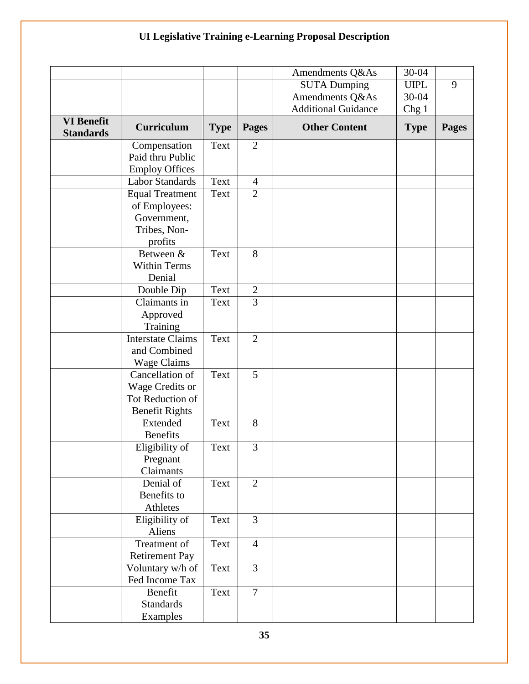# **Appendix 3: Legislative Training Manual Contents**

| <b>Section Tab</b>                                  | Curriculum                         | <b>Type</b> | Pages          | <b>Other Content</b>     | <b>Type</b> | <b>Pages</b> |
|-----------------------------------------------------|------------------------------------|-------------|----------------|--------------------------|-------------|--------------|
|                                                     |                                    |             |                |                          |             |              |
| <b>Introduction</b>                                 |                                    |             |                |                          |             |              |
|                                                     | <b>Status Federal</b>              | <b>PPT</b>  | 18             |                          |             |              |
|                                                     | Legislation<br>Objectives          | Text        | $\mathbf{1}$   |                          |             |              |
| <b>II</b> Fed Law                                   |                                    |             |                |                          |             |              |
| <b>Provisions</b>                                   | Curriculum                         | <b>Type</b> | <b>Pages</b>   | <b>Other Content</b>     | <b>Type</b> | <b>Pages</b> |
|                                                     | Index to Federal<br>Law            | Text        | 3              |                          |             |              |
|                                                     |                                    |             |                | FUTA Chapter 23          | <b>Text</b> | 32           |
|                                                     |                                    |             |                | Fed-St Extended UC Act   | Text        | 11           |
|                                                     |                                    |             |                | Social Security Act      | Text        | 41           |
|                                                     |                                    |             |                | Other US Code            | Text        |              |
|                                                     |                                    |             |                | Title 5 Chap 85          | Text        | 8            |
|                                                     |                                    |             |                | <b>Unemployment Comp</b> |             |              |
|                                                     |                                    |             |                | Title 18 Chap 93 Public  | <b>Text</b> | $\mathbf{1}$ |
|                                                     |                                    |             |                | Officers & Employees     |             |              |
| III<br>Conformity /<br>Compliance<br><b>Process</b> | Curriculum                         | <b>Type</b> | <b>Pages</b>   | <b>Other Content</b>     | <b>Type</b> | <b>Pages</b> |
|                                                     | Overview of Fed                    | Text        | 3              |                          |             |              |
|                                                     | Law                                |             |                |                          |             |              |
|                                                     | Requirements                       |             |                |                          |             |              |
|                                                     | Cert &<br>Conformity<br>Procedures | Text        | $\overline{4}$ |                          |             |              |
|                                                     | CFR 20-601                         | Text        | $\overline{2}$ |                          |             |              |
|                                                     | Results of                         | Text        | 3              |                          |             |              |
|                                                     | <b>Failure to Meet</b><br>Fed      |             |                |                          |             |              |
|                                                     | Requirements                       |             |                |                          |             |              |
|                                                     |                                    |             |                | Legal Authority of UIPLs | <b>UIPL</b> | $\mathbf{1}$ |
|                                                     |                                    |             |                | etc.                     | $1-96$      |              |
|                                                     |                                    |             |                | Required Submission of   | <b>UIPL</b> | 6            |
|                                                     |                                    |             |                | Form MA 8-7              | 27-07       |              |
| <b>IV Coverage</b><br>/ FUTA Tax<br><b>Credit</b>   | Curriculum                         | <b>Type</b> | <b>Pages</b>   | <b>Other Content</b>     | <b>Type</b> | <b>Pages</b> |
|                                                     | Coverage                           | Text        | 14             |                          |             |              |
|                                                     | Coverage                           | Text        | 5              |                          |             |              |

## **2009 Version—Revised 2012**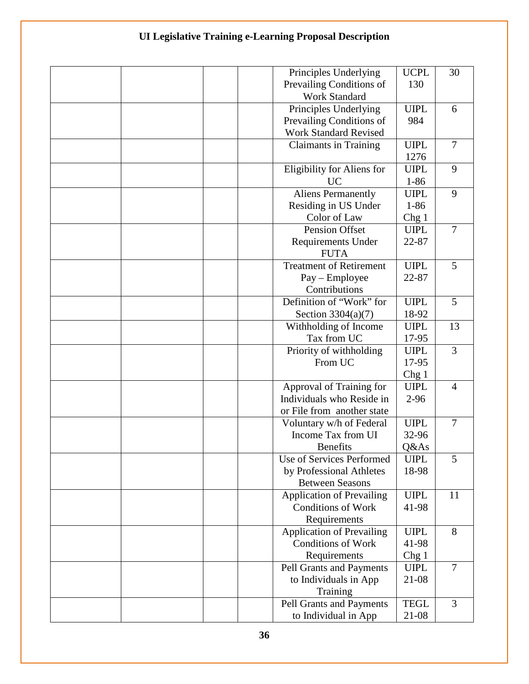|                                      | Examples                                  |             |                |                                   |                      |                |
|--------------------------------------|-------------------------------------------|-------------|----------------|-----------------------------------|----------------------|----------------|
|                                      | Discussion                                |             |                |                                   |                      |                |
|                                      | FUTA Payroll<br>Tax                       | Text        | 5              |                                   |                      |                |
|                                      | <b>FUTA Tax</b>                           | <b>TEX</b>  | 6              |                                   |                      |                |
|                                      | Computation                               | T           |                |                                   |                      |                |
|                                      |                                           | /Form       |                |                                   |                      |                |
|                                      |                                           | ulas        |                |                                   |                      |                |
|                                      | <b>FUTA Tax</b><br><b>Credit Examples</b> | Text        | $\overline{2}$ |                                   |                      |                |
|                                      | Discussion                                |             |                |                                   |                      |                |
|                                      |                                           |             |                | <b>NY Conformity Results</b>      | <b>UIPL</b>          | 14             |
|                                      |                                           |             |                |                                   | 24-75                |                |
|                                      |                                           |             |                | Work Relief & Work                | <b>UIPL</b>          | 6              |
|                                      |                                           |             |                | <b>Training Exclusions</b>        | 30-96                |                |
|                                      |                                           |             |                | <b>Treatment of Indian Tribes</b> | <b>UIPL</b>          | 19             |
|                                      |                                           |             |                | <b>Under Fed Law</b>              | $14 - 10$            |                |
| <b>V</b> Experience<br><b>Rating</b> | Curriculum                                | <b>Type</b> | <b>Pages</b>   | <b>Other Content</b>              | <b>Type</b>          | <b>Pages</b>   |
|                                      | Experience                                | Text        | 11             |                                   |                      |                |
|                                      | Rating                                    |             |                |                                   |                      |                |
|                                      | <b>SUTA Dumping</b>                       | Text        | $\sqrt{2}$     |                                   |                      |                |
|                                      | Financing for                             | Text        | $\overline{5}$ |                                   |                      |                |
|                                      | Govt. & Non-                              |             |                |                                   |                      |                |
|                                      | profits Options<br>Experience             | <b>Text</b> | 8              |                                   |                      |                |
|                                      | <b>Rating Examples</b>                    |             |                |                                   |                      |                |
|                                      |                                           |             |                | General Principles of ER          | <b>UIPL</b>          | 15             |
|                                      |                                           |             |                | <b>Uniform Method for</b>         | 29-83<br><b>UIPL</b> | $\overline{4}$ |
|                                      |                                           |             |                | Measuring Experience of           | 29-82                |                |
|                                      |                                           |             |                | Employers                         | Chg1                 |                |
|                                      |                                           |             |                | <b>Experience Rating</b>          | <b>UIPL</b>          | $\overline{4}$ |
|                                      |                                           |             |                | Permissible Secondary             | 29-82                |                |
|                                      |                                           |             |                | Adjustments                       | Chg <sub>2</sub>     |                |
|                                      |                                           |             |                | Transfers of Experience           | <b>UIPL</b>          | 10             |
|                                      |                                           |             |                |                                   | 29-82                |                |
|                                      |                                           |             |                |                                   | Chg <sub>3</sub>     |                |
|                                      |                                           |             |                | Sec $3304$ (a) (6) (B)            | <b>UIPL</b>          | 6              |
|                                      |                                           |             |                | &3309 (a) (2) of FUTA             | 44-93                |                |
|                                      |                                           |             |                | Liabilities of Reimbursable       |                      |                |
|                                      |                                           |             |                | Employers                         |                      |                |
|                                      |                                           |             |                | <b>Consideration of Former</b>    | <b>UIPL</b><br>13-99 | $\overline{4}$ |
|                                      |                                           |             |                | Employees Income in ER<br>Comp    |                      |                |
|                                      |                                           |             |                | <b>SUTA Dumping</b>               | <b>UIPL</b>          | 17             |
|                                      |                                           |             |                |                                   |                      |                |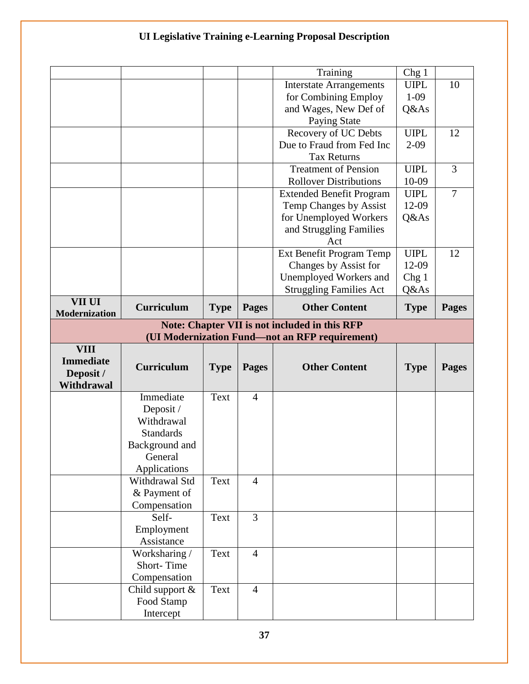|                                       |                           |             |                | Amendments Q&As            | 30-04       |              |
|---------------------------------------|---------------------------|-------------|----------------|----------------------------|-------------|--------------|
|                                       |                           |             |                | <b>SUTA Dumping</b>        | <b>UIPL</b> | 9            |
|                                       |                           |             |                | Amendments Q&As            | 30-04       |              |
|                                       |                           |             |                | <b>Additional Guidance</b> | Chg 1       |              |
| <b>VI</b> Benefit<br><b>Standards</b> | Curriculum                | <b>Type</b> | <b>Pages</b>   | <b>Other Content</b>       | <b>Type</b> | <b>Pages</b> |
|                                       | Compensation              | Text        | $\overline{2}$ |                            |             |              |
|                                       | Paid thru Public          |             |                |                            |             |              |
|                                       | <b>Employ Offices</b>     |             |                |                            |             |              |
|                                       | <b>Labor Standards</b>    | Text        | $\overline{4}$ |                            |             |              |
|                                       | <b>Equal Treatment</b>    | Text        | $\overline{2}$ |                            |             |              |
|                                       | of Employees:             |             |                |                            |             |              |
|                                       | Government,               |             |                |                            |             |              |
|                                       | Tribes, Non-              |             |                |                            |             |              |
|                                       | profits                   |             |                |                            |             |              |
|                                       | Between &                 | Text        | 8              |                            |             |              |
|                                       | <b>Within Terms</b>       |             |                |                            |             |              |
|                                       | Denial                    |             |                |                            |             |              |
|                                       | Double Dip                | Text        | $\mathfrak{2}$ |                            |             |              |
|                                       | Claimants in              | Text        | $\overline{3}$ |                            |             |              |
|                                       | Approved                  |             |                |                            |             |              |
|                                       | Training                  |             |                |                            |             |              |
|                                       | Interstate Claims         | Text        | $\overline{2}$ |                            |             |              |
|                                       | and Combined              |             |                |                            |             |              |
|                                       | <b>Wage Claims</b>        |             |                |                            |             |              |
|                                       | Cancellation of           | Text        | 5              |                            |             |              |
|                                       | Wage Credits or           |             |                |                            |             |              |
|                                       | Tot Reduction of          |             |                |                            |             |              |
|                                       | <b>Benefit Rights</b>     |             |                |                            |             |              |
|                                       | Extended                  | Text        | 8              |                            |             |              |
|                                       | <b>Benefits</b>           |             |                |                            |             |              |
|                                       | Eligibility of            | Text        | 3              |                            |             |              |
|                                       | Pregnant                  |             |                |                            |             |              |
|                                       | Claimants                 |             |                |                            |             |              |
|                                       | Denial of                 | Text        | $\overline{2}$ |                            |             |              |
|                                       | Benefits to               |             |                |                            |             |              |
|                                       | Athletes                  |             |                |                            |             |              |
|                                       | Eligibility of            | Text        | $\overline{3}$ |                            |             |              |
|                                       | Aliens                    |             |                |                            |             |              |
|                                       | Treatment of              | Text        | $\overline{4}$ |                            |             |              |
|                                       | <b>Retirement Pay</b>     |             |                |                            |             |              |
|                                       | Voluntary w/h of          | Text        | 3              |                            |             |              |
|                                       | Fed Income Tax<br>Benefit |             | $\overline{7}$ |                            |             |              |
|                                       | <b>Standards</b>          | Text        |                |                            |             |              |
|                                       |                           |             |                |                            |             |              |
|                                       | Examples                  |             |                |                            |             |              |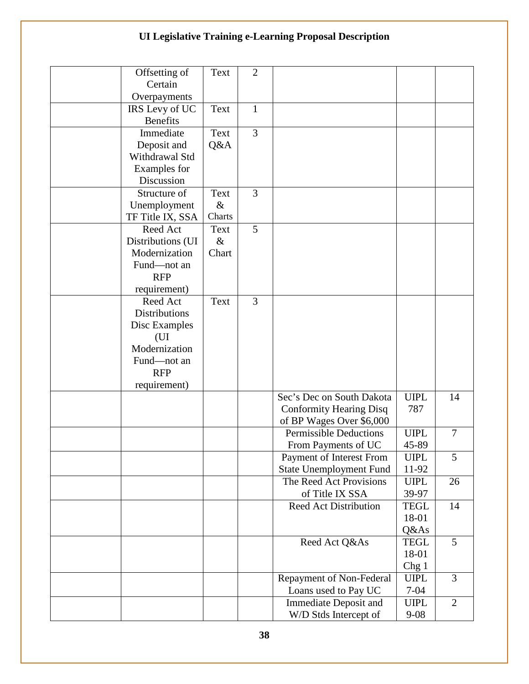|  | Principles Underlying            | <b>UCPL</b> | 30             |
|--|----------------------------------|-------------|----------------|
|  | Prevailing Conditions of         | 130         |                |
|  | <b>Work Standard</b>             |             |                |
|  | Principles Underlying            | <b>UIPL</b> | 6              |
|  | Prevailing Conditions of         | 984         |                |
|  | <b>Work Standard Revised</b>     |             |                |
|  | <b>Claimants in Training</b>     | <b>UIPL</b> | $\overline{7}$ |
|  |                                  | 1276        |                |
|  |                                  | <b>UIPL</b> | 9              |
|  | Eligibility for Aliens for       |             |                |
|  | <b>UC</b>                        | $1 - 86$    |                |
|  | <b>Aliens Permanently</b>        | <b>UIPL</b> | 9              |
|  | Residing in US Under             | $1 - 86$    |                |
|  | Color of Law                     | Chg1        |                |
|  | Pension Offset                   | <b>UIPL</b> | $\overline{7}$ |
|  | <b>Requirements Under</b>        | 22-87       |                |
|  | <b>FUTA</b>                      |             |                |
|  | <b>Treatment of Retirement</b>   | <b>UIPL</b> | 5              |
|  | Pay – Employee                   | 22-87       |                |
|  | Contributions                    |             |                |
|  | Definition of "Work" for         | <b>UIPL</b> | 5              |
|  | Section $3304(a)(7)$             | 18-92       |                |
|  | Withholding of Income            | <b>UIPL</b> | 13             |
|  | Tax from UC                      | 17-95       |                |
|  | Priority of withholding          | <b>UIPL</b> | 3              |
|  | From UC                          | 17-95       |                |
|  |                                  | Chg1        |                |
|  | Approval of Training for         | <b>UIPL</b> | $\overline{4}$ |
|  | Individuals who Reside in        | $2-96$      |                |
|  | or File from another state       |             |                |
|  | Voluntary w/h of Federal         | <b>UIPL</b> | 7              |
|  | Income Tax from UI               | 32-96       |                |
|  | <b>Benefits</b>                  | Q&As        |                |
|  | Use of Services Performed        | <b>UIPL</b> | 5              |
|  |                                  |             |                |
|  | by Professional Athletes         | 18-98       |                |
|  | <b>Between Seasons</b>           |             |                |
|  | <b>Application of Prevailing</b> | <b>UIPL</b> | 11             |
|  | <b>Conditions of Work</b>        | 41-98       |                |
|  | Requirements                     |             |                |
|  | <b>Application of Prevailing</b> | <b>UIPL</b> | 8              |
|  | <b>Conditions of Work</b>        | 41-98       |                |
|  | Requirements                     | Chg 1       |                |
|  | Pell Grants and Payments         | <b>UIPL</b> | $\overline{7}$ |
|  | to Individuals in App            | 21-08       |                |
|  | Training                         |             |                |
|  | Pell Grants and Payments         | <b>TEGL</b> | 3              |
|  | to Individual in App             | 21-08       |                |
|  |                                  |             |                |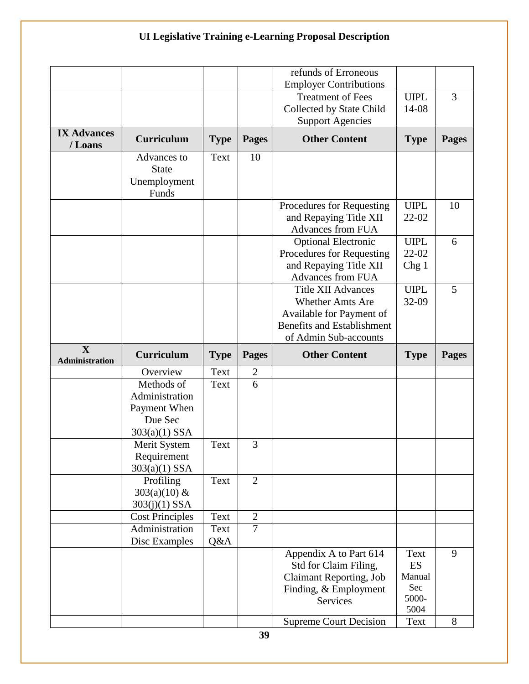|                                              |                         |             |                | Training                                       | Chg1        |                |
|----------------------------------------------|-------------------------|-------------|----------------|------------------------------------------------|-------------|----------------|
|                                              |                         |             |                | <b>Interstate Arrangements</b>                 | <b>UIPL</b> | 10             |
|                                              |                         |             |                | for Combining Employ                           | $1-09$      |                |
|                                              |                         |             |                | and Wages, New Def of                          | Q&As        |                |
|                                              |                         |             |                | <b>Paying State</b>                            |             |                |
|                                              |                         |             |                | Recovery of UC Debts                           | <b>UIPL</b> | 12             |
|                                              |                         |             |                | Due to Fraud from Fed Inc                      | $2 - 09$    |                |
|                                              |                         |             |                | <b>Tax Returns</b>                             |             |                |
|                                              |                         |             |                | <b>Treatment of Pension</b>                    | <b>UIPL</b> | 3              |
|                                              |                         |             |                | <b>Rollover Distributions</b>                  | 10-09       |                |
|                                              |                         |             |                | <b>Extended Benefit Program</b>                | <b>UIPL</b> | $\overline{7}$ |
|                                              |                         |             |                | Temp Changes by Assist                         | 12-09       |                |
|                                              |                         |             |                | for Unemployed Workers                         | Q&As        |                |
|                                              |                         |             |                | and Struggling Families                        |             |                |
|                                              |                         |             |                | Act                                            |             |                |
|                                              |                         |             |                | Ext Benefit Program Temp                       | <b>UIPL</b> | 12             |
|                                              |                         |             |                | Changes by Assist for                          | 12-09       |                |
|                                              |                         |             |                | Unemployed Workers and                         | Chg1        |                |
|                                              |                         |             |                | <b>Struggling Families Act</b>                 | Q&As        |                |
| VII UI<br>Modernization                      | Curriculum              | <b>Type</b> | <b>Pages</b>   | <b>Other Content</b>                           | <b>Type</b> | Pages          |
|                                              |                         |             |                | Note: Chapter VII is not included in this RFP  |             |                |
|                                              |                         |             |                |                                                |             |                |
|                                              |                         |             |                | (UI Modernization Fund-not an RFP requirement) |             |                |
| <b>VIII</b><br><b>Immediate</b><br>Deposit / | Curriculum              | <b>Type</b> | <b>Pages</b>   | <b>Other Content</b>                           | <b>Type</b> | Pages          |
| Withdrawal                                   | Immediate               | Text        | $\overline{4}$ |                                                |             |                |
|                                              |                         |             |                |                                                |             |                |
|                                              | Deposit /<br>Withdrawal |             |                |                                                |             |                |
|                                              | <b>Standards</b>        |             |                |                                                |             |                |
|                                              | Background and          |             |                |                                                |             |                |
|                                              | General                 |             |                |                                                |             |                |
|                                              | Applications            |             |                |                                                |             |                |
|                                              | Withdrawal Std          | Text        | $\overline{4}$ |                                                |             |                |
|                                              | & Payment of            |             |                |                                                |             |                |
|                                              | Compensation            |             |                |                                                |             |                |
|                                              | Self-                   | Text        | 3              |                                                |             |                |
|                                              | Employment              |             |                |                                                |             |                |
|                                              | Assistance              |             |                |                                                |             |                |
|                                              | Worksharing /           | Text        | $\overline{4}$ |                                                |             |                |
|                                              | Short-Time              |             |                |                                                |             |                |
|                                              | Compensation            |             |                |                                                |             |                |
|                                              | Child support &         | Text        | $\overline{4}$ |                                                |             |                |
|                                              | Food Stamp<br>Intercept |             |                |                                                |             |                |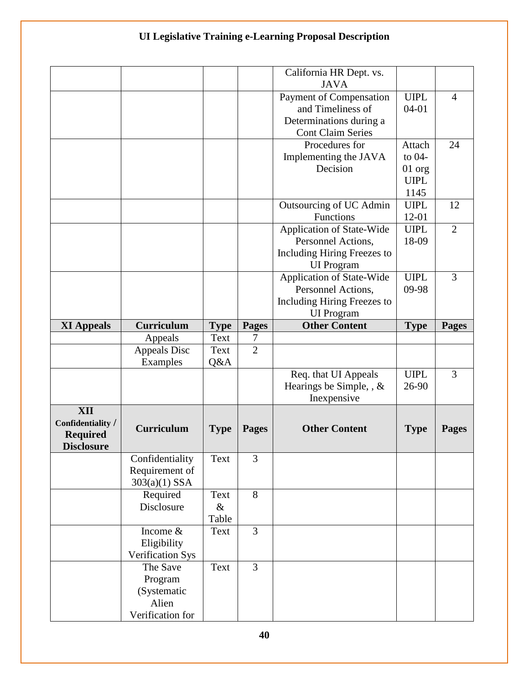| Offsetting of     | Text        | $\overline{2}$ |                                |             |                |
|-------------------|-------------|----------------|--------------------------------|-------------|----------------|
| Certain           |             |                |                                |             |                |
| Overpayments      |             |                |                                |             |                |
| IRS Levy of UC    | Text        | $\mathbf{1}$   |                                |             |                |
| <b>Benefits</b>   |             |                |                                |             |                |
| Immediate         | Text        | 3              |                                |             |                |
| Deposit and       | Q&A         |                |                                |             |                |
| Withdrawal Std    |             |                |                                |             |                |
| Examples for      |             |                |                                |             |                |
| Discussion        |             |                |                                |             |                |
| Structure of      | Text        | 3              |                                |             |                |
| Unemployment      | $\&$        |                |                                |             |                |
| TF Title IX, SSA  | Charts      |                |                                |             |                |
|                   |             |                |                                |             |                |
| Reed Act          | Text        | 5              |                                |             |                |
| Distributions (UI | $\&$        |                |                                |             |                |
| Modernization     | Chart       |                |                                |             |                |
| Fund-not an       |             |                |                                |             |                |
| <b>RFP</b>        |             |                |                                |             |                |
| requirement)      |             |                |                                |             |                |
| Reed Act          | <b>Text</b> | 3              |                                |             |                |
| Distributions     |             |                |                                |             |                |
| Disc Examples     |             |                |                                |             |                |
| (UI               |             |                |                                |             |                |
| Modernization     |             |                |                                |             |                |
| Fund-not an       |             |                |                                |             |                |
| <b>RFP</b>        |             |                |                                |             |                |
| requirement)      |             |                |                                |             |                |
|                   |             |                | Sec's Dec on South Dakota      | <b>UIPL</b> | 14             |
|                   |             |                | <b>Conformity Hearing Disq</b> | 787         |                |
|                   |             |                | of BP Wages Over \$6,000       |             |                |
|                   |             |                | <b>Permissible Deductions</b>  | <b>UIPL</b> | $\overline{7}$ |
|                   |             |                | From Payments of UC            | 45-89       |                |
|                   |             |                | Payment of Interest From       | <b>UIPL</b> | 5              |
|                   |             |                | <b>State Unemployment Fund</b> | 11-92       |                |
|                   |             |                | The Reed Act Provisions        | <b>UIPL</b> | 26             |
|                   |             |                | of Title IX SSA                | 39-97       |                |
|                   |             |                | <b>Reed Act Distribution</b>   | <b>TEGL</b> | 14             |
|                   |             |                |                                | 18-01       |                |
|                   |             |                |                                | Q&As        |                |
|                   |             |                |                                |             | 5              |
|                   |             |                | Reed Act Q&As                  | <b>TEGL</b> |                |
|                   |             |                |                                | 18-01       |                |
|                   |             |                |                                | Chg 1       |                |
|                   |             |                | Repayment of Non-Federal       | <b>UIPL</b> | 3              |
|                   |             |                | Loans used to Pay UC           | $7 - 04$    |                |
|                   |             |                | Immediate Deposit and          | <b>UIPL</b> | $\overline{2}$ |
|                   |             |                | W/D Stds Intercept of          | $9 - 08$    |                |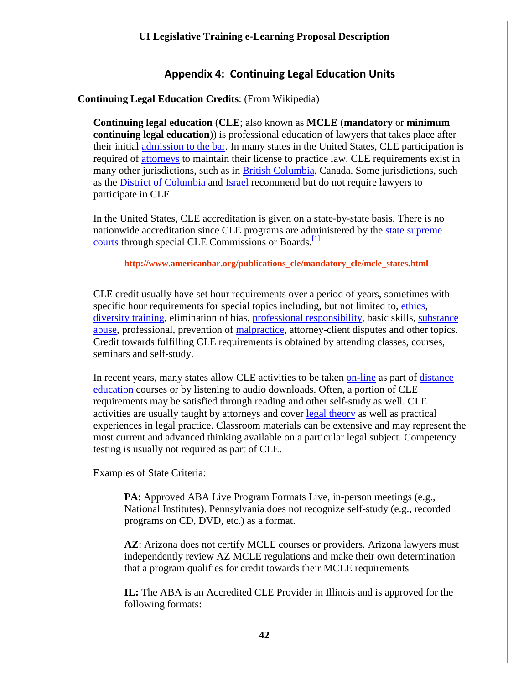|                   |                           |               |                | California HR Dept. vs.<br><b>JAVA</b> |             |                |
|-------------------|---------------------------|---------------|----------------|----------------------------------------|-------------|----------------|
|                   |                           |               |                | Payment of Compensation                | <b>UIPL</b> | $\overline{4}$ |
|                   |                           |               |                | and Timeliness of                      | $04 - 01$   |                |
|                   |                           |               |                | Determinations during a                |             |                |
|                   |                           |               |                | <b>Cont Claim Series</b>               |             |                |
|                   |                           |               |                | Procedures for                         | Attach      | 24             |
|                   |                           |               |                | Implementing the JAVA                  | to 04-      |                |
|                   |                           |               |                | Decision                               | 01 org      |                |
|                   |                           |               |                |                                        | <b>UIPL</b> |                |
|                   |                           |               |                |                                        | 1145        |                |
|                   |                           |               |                | Outsourcing of UC Admin                | <b>UIPL</b> | 12             |
|                   |                           |               |                | Functions                              | 12-01       |                |
|                   |                           |               |                | Application of State-Wide              | <b>UIPL</b> | $\overline{2}$ |
|                   |                           |               |                | Personnel Actions,                     | 18-09       |                |
|                   |                           |               |                | Including Hiring Freezes to            |             |                |
|                   |                           |               |                | <b>UI</b> Program                      |             |                |
|                   |                           |               |                | Application of State-Wide              | <b>UIPL</b> | 3              |
|                   |                           |               |                | Personnel Actions,                     | 09-98       |                |
|                   |                           |               |                | Including Hiring Freezes to            |             |                |
|                   |                           |               |                | <b>UI</b> Program                      |             |                |
| <b>XI Appeals</b> | Curriculum                | <b>Type</b>   | <b>Pages</b>   | <b>Other Content</b>                   | <b>Type</b> | <b>Pages</b>   |
|                   |                           |               |                |                                        |             |                |
|                   | Appeals                   | Text          | 7              |                                        |             |                |
|                   | <b>Appeals Disc</b>       | Text          | $\overline{2}$ |                                        |             |                |
|                   | Examples                  | Q&A           |                |                                        |             |                |
|                   |                           |               |                | Req. that UI Appeals                   | <b>UIPL</b> | 3              |
|                   |                           |               |                | Hearings be Simple, , $\&$             | 26-90       |                |
|                   |                           |               |                | Inexpensive                            |             |                |
| <b>XII</b>        |                           |               |                |                                        |             |                |
| Confidentiality / | Curriculum                |               | <b>Pages</b>   | <b>Other Content</b>                   | <b>Type</b> | Pages          |
| Required          |                           | <b>Type</b>   |                |                                        |             |                |
| <b>Disclosure</b> |                           |               |                |                                        |             |                |
|                   | Confidentiality           | Text          | 3              |                                        |             |                |
|                   | Requirement of            |               |                |                                        |             |                |
|                   | $303(a)(1)$ SSA           |               |                |                                        |             |                |
|                   | Required                  | Text          | 8              |                                        |             |                |
|                   | Disclosure                | $\&$<br>Table |                |                                        |             |                |
|                   |                           |               |                |                                        |             |                |
|                   | Income $&$<br>Eligibility | Text          | 3              |                                        |             |                |
|                   | Verification Sys          |               |                |                                        |             |                |
|                   | The Save                  | Text          | 3              |                                        |             |                |
|                   | Program                   |               |                |                                        |             |                |
|                   | (Systematic               |               |                |                                        |             |                |
|                   | Alien<br>Verification for |               |                |                                        |             |                |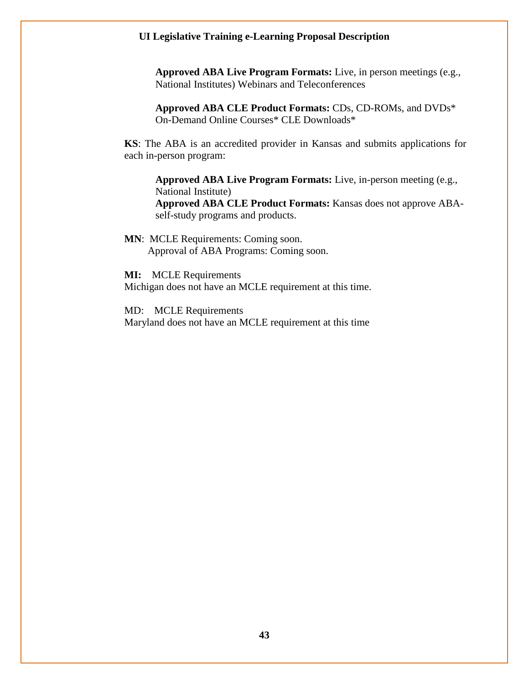|       | Entitlements)   |      |     |                                   |             |                |
|-------|-----------------|------|-----|-----------------------------------|-------------|----------------|
|       | Confidentiality | Text | 3   |                                   |             |                |
|       | and Required    |      |     |                                   |             |                |
|       | Disclosure Disc |      |     |                                   |             |                |
|       | Examples Q&AS   |      |     |                                   |             |                |
|       |                 |      |     | Amendments Made by PL             | <b>UIPL</b> | 20             |
|       |                 |      |     | 98-369 Deficit Reduction          | $1 - 85$    |                |
|       |                 |      |     | Act 1984                          |             |                |
|       |                 |      |     | Amendments Made by PL             | <b>UIPL</b> | $\overline{2}$ |
|       |                 |      |     | 98-369 Deficit Reduction          | $1 - 85$    |                |
|       |                 |      |     | <b>Act 1984</b>                   | Chg 1       |                |
|       |                 |      |     | Implementation of the             | <b>UIPL</b> | 6              |
|       |                 |      |     | State Income and                  | 24-86       |                |
|       |                 |      |     | <b>Eligibility Verification</b>   |             |                |
|       |                 |      |     | System                            |             |                |
|       |                 |      |     | Effect of Immigration             | <b>UIPL</b> | 6              |
|       |                 |      |     | Reform and Control Act on         | 11-88       |                |
|       |                 |      |     | <b>UC</b> Procedures              |             |                |
|       |                 |      |     | Bases on Which Sec. Will          | <b>UIPL</b> | 12             |
|       |                 |      |     | <b>Grant Waivers of Certain</b>   | 26-88       |                |
|       |                 |      |     | Participation in Alien            |             |                |
|       |                 |      |     | <b>Status Verification System</b> |             |                |
|       |                 |      |     | The Balanced Budget Act           | <b>UIPL</b> | 12             |
|       |                 |      |     | of 1997 and the Taxpayer          | 44-97       |                |
|       |                 |      |     | Relief Act of 1997                |             |                |
|       |                 |      |     | Procedures for Verification       | <b>UIPL</b> | $\overline{4}$ |
|       |                 |      |     | of Alien Status                   | 7-98        |                |
|       |                 |      |     | UC Confidentiality $\&$           | Federal     | 21             |
|       |                 |      |     | Disclosure of State UC            | Register    |                |
|       |                 |      |     | <b>Information Final Rule</b>     |             |                |
| Total |                 |      | 233 |                                   |             | 691            |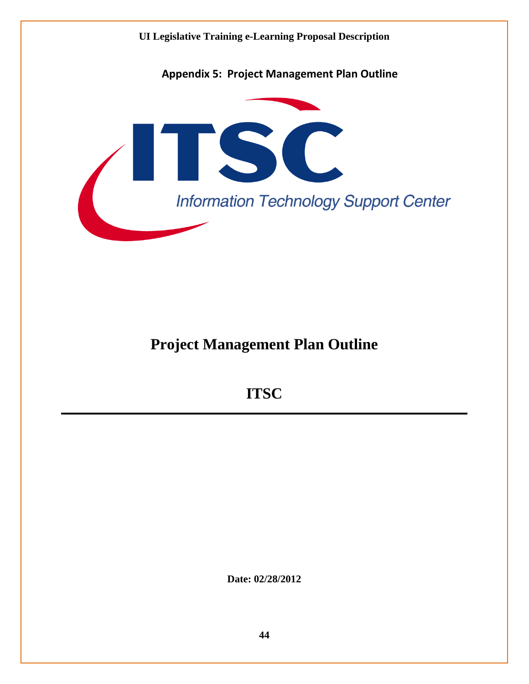### **Appendix 4: Continuing Legal Education Units**

#### **Continuing Legal Education Credits**: (From Wikipedia)

**Continuing legal education** (**CLE**; also known as **MCLE** (**mandatory** or **minimum continuing legal education**)) is professional education of lawyers that takes place after their initial [admission to the bar.](http://en.wikipedia.org/wiki/Admission_to_the_bar_in_the_United_States) In many states in the United States, CLE participation is required of [attorneys](http://en.wikipedia.org/wiki/Lawyer) to maintain their license to practice law. CLE requirements exist in many other jurisdictions, such as in [British Columbia,](http://en.wikipedia.org/wiki/British_Columbia) Canada. Some jurisdictions, such as the [District of Columbia](http://en.wikipedia.org/wiki/District_of_Columbia) and [Israel](http://en.wikipedia.org/wiki/Israel) recommend but do not require lawyers to participate in CLE.

In the United States, CLE accreditation is given on a state-by-state basis. There is no nationwide accreditation since CLE programs are administered by the [state supreme](http://en.wikipedia.org/wiki/State_supreme_court)  [courts](http://en.wikipedia.org/wiki/State_supreme_court) through special CLE Commissions or Boards.<sup>[\[1\]](http://en.wikipedia.org/wiki/Continuing_legal_education#cite_note-0)</sup>

**[http://www.americanbar.org/publications\\_cle/mandatory\\_cle/mcle\\_states.html](http://www.americanbar.org/publications_cle/mandatory_cle/mcle_states.html)**

CLE credit usually have set hour requirements over a period of years, sometimes with specific hour requirements for special topics including, but not limited to, [ethics,](http://en.wikipedia.org/wiki/Ethics) [diversity training,](http://en.wikipedia.org/wiki/Diversity_training) elimination of bias, [professional responsibility,](http://en.wikipedia.org/wiki/Professional_responsibility) basic skills, [substance](http://en.wikipedia.org/wiki/Substance_abuse)  [abuse,](http://en.wikipedia.org/wiki/Substance_abuse) professional, prevention of [malpractice,](http://en.wikipedia.org/wiki/Legal_malpractice) attorney-client disputes and other topics. Credit towards fulfilling CLE requirements is obtained by attending classes, courses, seminars and self-study.

In recent years, many states allow CLE activities to be taken [on-line](http://en.wikipedia.org/wiki/On-line) as part of [distance](http://en.wikipedia.org/wiki/Distance_education)  [education](http://en.wikipedia.org/wiki/Distance_education) courses or by listening to audio downloads. Often, a portion of CLE requirements may be satisfied through reading and other self-study as well. CLE activities are usually taught by attorneys and cover [legal theory](http://en.wikipedia.org/wiki/Legal_theory) as well as practical experiences in legal practice. Classroom materials can be extensive and may represent the most current and advanced thinking available on a particular legal subject. Competency testing is usually not required as part of CLE.

Examples of State Criteria:

**PA:** Approved ABA Live Program Formats Live, in-person meetings (e.g., National Institutes). Pennsylvania does not recognize self-study (e.g., recorded programs on CD, DVD, etc.) as a format.

**AZ**: Arizona does not certify MCLE courses or providers. Arizona lawyers must independently review AZ MCLE regulations and make their own determination that a program qualifies for credit towards their MCLE requirements

**IL:** The ABA is an Accredited CLE Provider in Illinois and is approved for the following formats: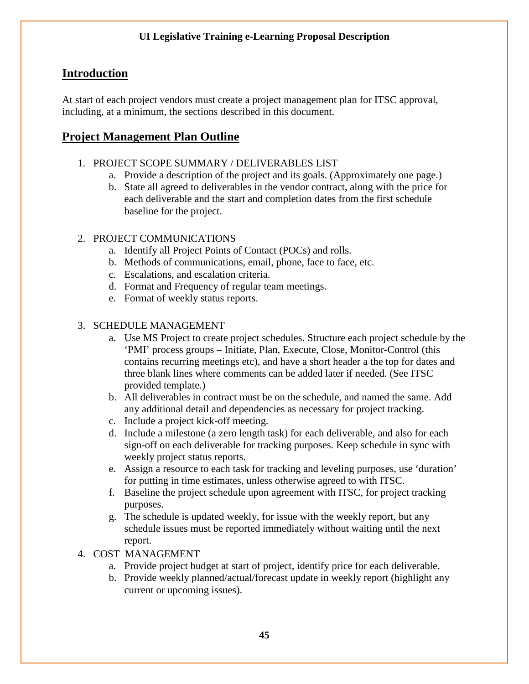**Approved ABA Live Program Formats:** Live, in person meetings (e.g., National Institutes) Webinars and Teleconferences

**Approved ABA CLE Product Formats:** CDs, CD-ROMs, and DVDs\* On-Demand Online Courses\* CLE Downloads\*

**KS**: The ABA is an accredited provider in Kansas and submits applications for each in-person program:

**Approved ABA Live Program Formats:** Live, in-person meeting (e.g., National Institute) **Approved ABA CLE Product Formats:** Kansas does not approve ABAself-study programs and products.

**MN**: MCLE Requirements: Coming soon. Approval of ABA Programs: Coming soon.

**MI:** MCLE Requirements

Michigan does not have an MCLE requirement at this time.

MD: MCLE Requirements

Maryland does not have an MCLE requirement at this time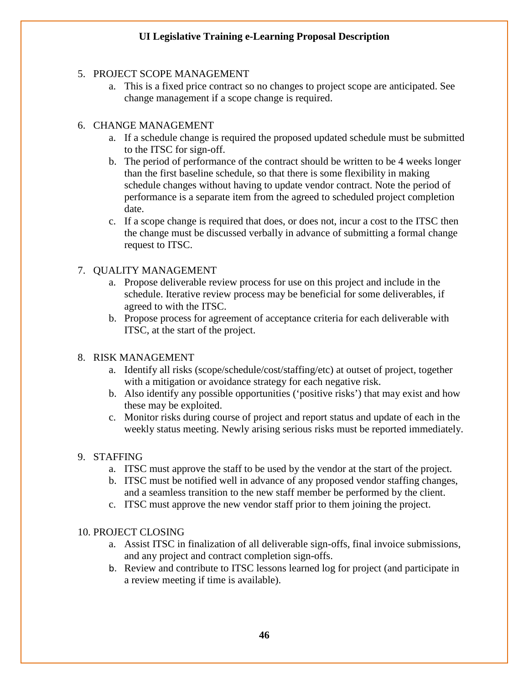

# **Project Management Plan Outline**

# **ITSC**

**Date: 02/28/2012**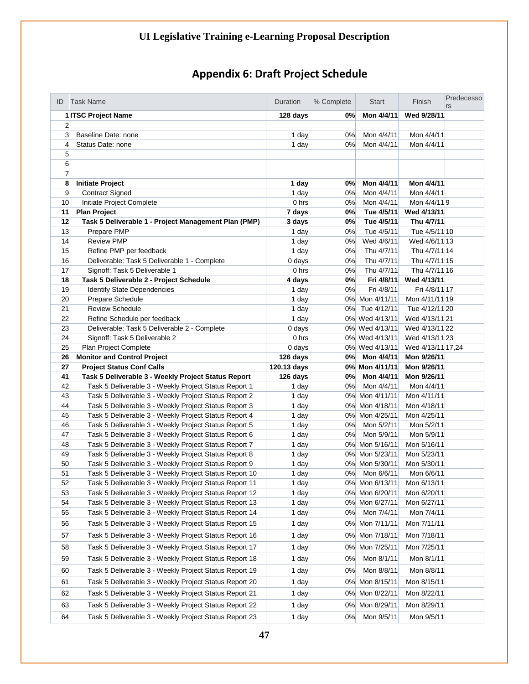## **Introduction**

At start of each project vendors must create a project management plan for ITSC approval, including, at a minimum, the sections described in this document.

## **Project Management Plan Outline**

#### 1. PROJECT SCOPE SUMMARY / DELIVERABLES LIST

- a. Provide a description of the project and its goals. (Approximately one page.)
- b. State all agreed to deliverables in the vendor contract, along with the price for each deliverable and the start and completion dates from the first schedule baseline for the project.

### 2. PROJECT COMMUNICATIONS

- a. Identify all Project Points of Contact (POCs) and rolls.
- b. Methods of communications, email, phone, face to face, etc.
- c. Escalations, and escalation criteria.
- d. Format and Frequency of regular team meetings.
- e. Format of weekly status reports.

## 3. SCHEDULE MANAGEMENT

- a. Use MS Project to create project schedules. Structure each project schedule by the 'PMI' process groups – Initiate, Plan, Execute, Close, Monitor-Control (this contains recurring meetings etc), and have a short header a the top for dates and three blank lines where comments can be added later if needed. (See ITSC provided template.)
- b. All deliverables in contract must be on the schedule, and named the same. Add any additional detail and dependencies as necessary for project tracking.
- c. Include a project kick-off meeting.
- d. Include a milestone (a zero length task) for each deliverable, and also for each sign-off on each deliverable for tracking purposes. Keep schedule in sync with weekly project status reports.
- e. Assign a resource to each task for tracking and leveling purposes, use 'duration' for putting in time estimates, unless otherwise agreed to with ITSC.
- f. Baseline the project schedule upon agreement with ITSC, for project tracking purposes.
- g. The schedule is updated weekly, for issue with the weekly report, but any schedule issues must be reported immediately without waiting until the next report.
- 4. COST MANAGEMENT
	- a. Provide project budget at start of project, identify price for each deliverable.
	- b. Provide weekly planned/actual/forecast update in weekly report (highlight any current or upcoming issues).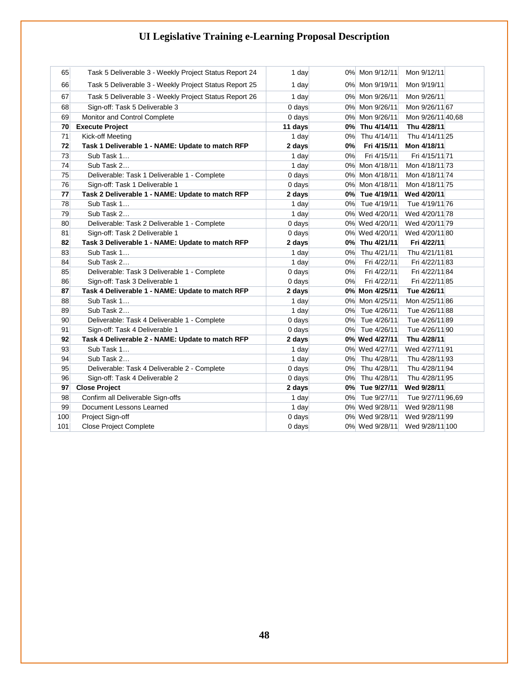#### 5. PROJECT SCOPE MANAGEMENT

a. This is a fixed price contract so no changes to project scope are anticipated. See change management if a scope change is required.

#### 6. CHANGE MANAGEMENT

- a. If a schedule change is required the proposed updated schedule must be submitted to the ITSC for sign-off.
- b. The period of performance of the contract should be written to be 4 weeks longer than the first baseline schedule, so that there is some flexibility in making schedule changes without having to update vendor contract. Note the period of performance is a separate item from the agreed to scheduled project completion date.
- c. If a scope change is required that does, or does not, incur a cost to the ITSC then the change must be discussed verbally in advance of submitting a formal change request to ITSC.

#### 7. QUALITY MANAGEMENT

- a. Propose deliverable review process for use on this project and include in the schedule. Iterative review process may be beneficial for some deliverables, if agreed to with the ITSC.
- b. Propose process for agreement of acceptance criteria for each deliverable with ITSC, at the start of the project.

#### 8. RISK MANAGEMENT

- a. Identify all risks (scope/schedule/cost/staffing/etc) at outset of project, together with a mitigation or avoidance strategy for each negative risk.
- b. Also identify any possible opportunities ('positive risks') that may exist and how these may be exploited.
- c. Monitor risks during course of project and report status and update of each in the weekly status meeting. Newly arising serious risks must be reported immediately.

#### 9. STAFFING

- a. ITSC must approve the staff to be used by the vendor at the start of the project.
- b. ITSC must be notified well in advance of any proposed vendor staffing changes, and a seamless transition to the new staff member be performed by the client.
- c. ITSC must approve the new vendor staff prior to them joining the project.

#### 10. PROJECT CLOSING

- a. Assist ITSC in finalization of all deliverable sign-offs, final invoice submissions, and any project and contract completion sign-offs.
- b. Review and contribute to ITSC lessons learned log for project (and participate in a review meeting if time is available).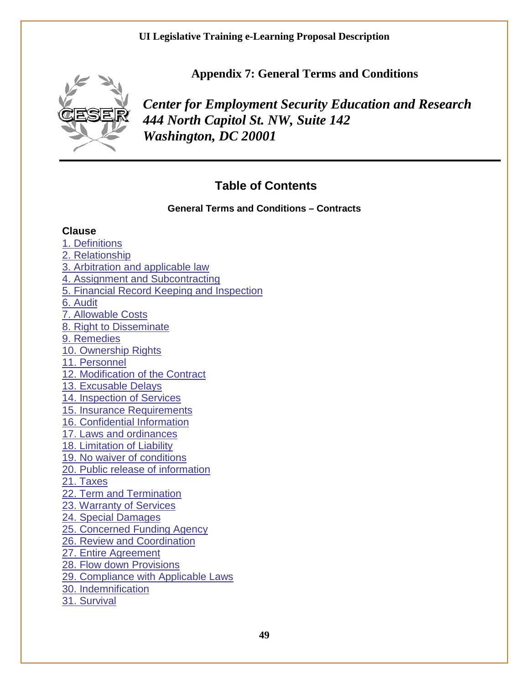# **Appendix 6: Draft Project Schedule**

| ID              | Task Name                                              | Duration         | % Complete | <b>Start</b>             | Finish                         | Predecesso<br>rs |
|-----------------|--------------------------------------------------------|------------------|------------|--------------------------|--------------------------------|------------------|
|                 | 1 <b>ITSC Project Name</b>                             | 128 days         | 0%         | Mon 4/4/11               | Wed 9/28/11                    |                  |
| $\overline{2}$  |                                                        |                  |            |                          |                                |                  |
| 3               | Baseline Date: none                                    | 1 day            | 0%         | Mon 4/4/11               | Mon 4/4/11                     |                  |
| 4               | Status Date: none                                      | 1 day            | 0%         | Mon 4/4/11               | Mon 4/4/11                     |                  |
| $5\overline{)}$ |                                                        |                  |            |                          |                                |                  |
| 6               |                                                        |                  |            |                          |                                |                  |
| $\overline{7}$  |                                                        |                  |            |                          |                                |                  |
| 8               | <b>Initiate Project</b>                                | 1 day            | 0%         | Mon 4/4/11               | Mon 4/4/11                     |                  |
| 9               | <b>Contract Signed</b>                                 | 1 day            | 0%         | Mon 4/4/11               | Mon 4/4/11                     |                  |
| 10              | Initiate Project Complete                              | 0 hrs            | 0%         | Mon 4/4/11               | Mon 4/4/119                    |                  |
| 11              | <b>Plan Project</b>                                    | 7 days           | 0%         | Tue 4/5/11               | Wed 4/13/11                    |                  |
| 12              | Task 5 Deliverable 1 - Project Management Plan (PMP)   | 3 days           | 0%         | Tue 4/5/11               | Thu 4/7/11                     |                  |
| 13              | Prepare PMP<br><b>Review PMP</b>                       | 1 day            | 0%<br>0%   | Tue 4/5/11<br>Wed 4/6/11 | Tue 4/5/11 10<br>Wed 4/6/11 13 |                  |
| 14<br>15        | Refine PMP per feedback                                | $1$ day<br>1 day | 0%         | Thu 4/7/11               | Thu 4/7/11 14                  |                  |
| 16              | Deliverable: Task 5 Deliverable 1 - Complete           | $0 \text{ days}$ | 0%         | Thu 4/7/11               | Thu 4/7/11 15                  |                  |
| 17              | Signoff: Task 5 Deliverable 1                          | 0 hrs            | 0%         | Thu 4/7/11               | Thu 4/7/11 16                  |                  |
| 18              | Task 5 Deliverable 2 - Project Schedule                | 4 days           | 0%         | Fri 4/8/11               | Wed 4/13/11                    |                  |
| 19              | <b>Identify State Dependencies</b>                     | 1 day            | 0%         | Fri 4/8/11               | Fri 4/8/11 17                  |                  |
| 20              | Prepare Schedule                                       | 1 day            | 0%         | Mon 4/11/11              | Mon 4/11/11 19                 |                  |
| 21              | <b>Review Schedule</b>                                 | 1 day            | 0%         | Tue 4/12/11              | Tue 4/12/11 20                 |                  |
| 22              | Refine Schedule per feedback                           | 1 day            |            | 0% Wed 4/13/11           | Wed 4/13/11 21                 |                  |
| 23              | Deliverable: Task 5 Deliverable 2 - Complete           | 0 days           |            | 0% Wed 4/13/11           | Wed 4/13/11 22                 |                  |
| 24              | Signoff: Task 5 Deliverable 2                          | $0$ hrs          |            | 0% Wed 4/13/11           | Wed 4/13/11 23                 |                  |
| 25              | Plan Project Complete                                  | $0 \text{ days}$ |            | 0% Wed 4/13/11           | Wed 4/13/11 17,24              |                  |
| 26              | <b>Monitor and Control Project</b>                     | 126 days         | 0%         | Mon 4/4/11               | Mon 9/26/11                    |                  |
| 27              | <b>Project Status Conf Calls</b>                       | 120.13 days      |            | 0% Mon 4/11/11           | Mon 9/26/11                    |                  |
| 41              | Task 5 Deliverable 3 - Weekly Project Status Report    | 126 days         | 0%         | Mon 4/4/11               | Mon 9/26/11                    |                  |
| 42              | Task 5 Deliverable 3 - Weekly Project Status Report 1  | 1 day            | 0%         | Mon 4/4/11               | Mon 4/4/11                     |                  |
| 43              | Task 5 Deliverable 3 - Weekly Project Status Report 2  | 1 day            |            | 0% Mon 4/11/11           | Mon 4/11/11                    |                  |
| 44              | Task 5 Deliverable 3 - Weekly Project Status Report 3  | 1 day            |            | 0% Mon 4/18/11           | Mon 4/18/11                    |                  |
| 45              | Task 5 Deliverable 3 - Weekly Project Status Report 4  | 1 day            | 0%         | Mon 4/25/11              | Mon 4/25/11                    |                  |
| 46              | Task 5 Deliverable 3 - Weekly Project Status Report 5  | 1 day            | 0%         | Mon 5/2/11               | Mon 5/2/11                     |                  |
| 47              | Task 5 Deliverable 3 - Weekly Project Status Report 6  | 1 day            | 0%         | Mon 5/9/11               | Mon 5/9/11                     |                  |
| 48              | Task 5 Deliverable 3 - Weekly Project Status Report 7  | 1 day            | 0%         | Mon 5/16/11              | Mon 5/16/11                    |                  |
| 49              | Task 5 Deliverable 3 - Weekly Project Status Report 8  | 1 day            | 0%         | Mon 5/23/11              | Mon 5/23/11                    |                  |
| 50              | Task 5 Deliverable 3 - Weekly Project Status Report 9  | 1 day            | 0%         | Mon 5/30/11              | Mon 5/30/11                    |                  |
| 51              | Task 5 Deliverable 3 - Weekly Project Status Report 10 | 1 day            | 0%         | Mon 6/6/11               | Mon 6/6/11                     |                  |
| 52              | Task 5 Deliverable 3 - Weekly Project Status Report 11 | 1 day            |            | 0% Mon 6/13/11           | Mon 6/13/11                    |                  |
| 53              | Task 5 Deliverable 3 - Weekly Project Status Report 12 | 1 day            | 0%         | Mon 6/20/11              | Mon 6/20/11                    |                  |
| 54              | Task 5 Deliverable 3 - Weekly Project Status Report 13 | 1 day            |            | 0% Mon 6/27/11           | Mon 6/27/11                    |                  |
| 55              | Task 5 Deliverable 3 - Weekly Project Status Report 14 | 1 day            | 0%         | Mon 7/4/11               | Mon 7/4/11                     |                  |
| 56              | Task 5 Deliverable 3 - Weekly Project Status Report 15 | 1 day            | 0%         | Mon 7/11/11              | Mon 7/11/11                    |                  |
| 57              | Task 5 Deliverable 3 - Weekly Project Status Report 16 | $1$ day          | 0%         | Mon 7/18/11              | Mon 7/18/11                    |                  |
| 58              | Task 5 Deliverable 3 - Weekly Project Status Report 17 | 1 day            | $0\%$      | Mon 7/25/11              | Mon 7/25/11                    |                  |
| 59              | Task 5 Deliverable 3 - Weekly Project Status Report 18 | 1 day            | 0%         | Mon 8/1/11               | Mon 8/1/11                     |                  |
|                 |                                                        |                  |            |                          |                                |                  |
| 60              | Task 5 Deliverable 3 - Weekly Project Status Report 19 | 1 day            | 0%         | Mon 8/8/11               | Mon 8/8/11                     |                  |
| 61              | Task 5 Deliverable 3 - Weekly Project Status Report 20 | 1 day            | 0%         | Mon 8/15/11              | Mon 8/15/11                    |                  |
| 62              | Task 5 Deliverable 3 - Weekly Project Status Report 21 | 1 day            | $0\%$      | Mon 8/22/11              | Mon 8/22/11                    |                  |
| 63              | Task 5 Deliverable 3 - Weekly Project Status Report 22 | 1 day            | 0%         | Mon 8/29/11              | Mon 8/29/11                    |                  |
| 64              | Task 5 Deliverable 3 - Weekly Project Status Report 23 | 1 day            | 0%         | Mon 9/5/11               | Mon 9/5/11                     |                  |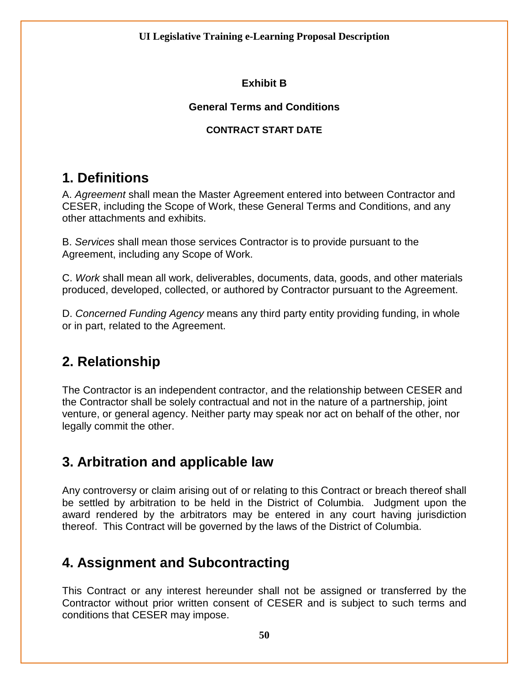| 65       | Task 5 Deliverable 3 - Weekly Project Status Report 24 | 1 day            |          | 0% Mon 9/12/11 | Mon 9/12/11                      |
|----------|--------------------------------------------------------|------------------|----------|----------------|----------------------------------|
| 66       | Task 5 Deliverable 3 - Weekly Project Status Report 25 | 1 day            |          | 0% Mon 9/19/11 | Mon 9/19/11                      |
| 67       | Task 5 Deliverable 3 - Weekly Project Status Report 26 | 1 day            |          | 0% Mon 9/26/11 | Mon 9/26/11                      |
| 68       | Sign-off: Task 5 Deliverable 3                         | $0$ days         | 0%       | Mon 9/26/11    | Mon 9/26/11 67                   |
|          |                                                        |                  |          | 0% Mon 9/26/11 |                                  |
| 69       | Monitor and Control Complete<br><b>Execute Project</b> | $0 \text{ days}$ |          | Thu 4/14/11    | Mon 9/26/11 40,68<br>Thu 4/28/11 |
| 70<br>71 | Kick-off Meeting                                       | 11 days          | 0%<br>0% | Thu 4/14/11    | Thu 4/14/11 25                   |
| 72       | Task 1 Deliverable 1 - NAME: Update to match RFP       | 1 day<br>2 days  | 0%       | Fri 4/15/11    | Mon 4/18/11                      |
| 73       | Sub Task 1                                             | 1 day            | 0%       | Fri 4/15/11    | Fri 4/15/11 71                   |
| 74       | Sub Task 2                                             | 1 day            |          | 0% Mon 4/18/11 | Mon 4/18/11 73                   |
| 75       | Deliverable: Task 1 Deliverable 1 - Complete           | $0$ days         |          | 0% Mon 4/18/11 | Mon 4/18/11 74                   |
|          |                                                        |                  |          |                |                                  |
| 76       | Sign-off: Task 1 Deliverable 1                         | $0$ days         |          | 0% Mon 4/18/11 | Mon 4/18/11 75                   |
| 77       | Task 2 Deliverable 1 - NAME: Update to match RFP       | 2 days           | 0%       | Tue 4/19/11    | Wed 4/20/11                      |
| 78       | Sub Task 1                                             | 1 day            | 0%       | Tue 4/19/11    | Tue 4/19/11 76                   |
| 79       | Sub Task 2                                             | 1 day            |          | 0% Wed 4/20/11 | Wed 4/20/11 78                   |
| 80       | Deliverable: Task 2 Deliverable 1 - Complete           | $0$ days         |          | 0% Wed 4/20/11 | Wed 4/20/11 79                   |
| 81       | Sign-off: Task 2 Deliverable 1                         | $0$ days         |          | 0% Wed 4/20/11 | Wed 4/20/11 80                   |
| 82       | Task 3 Deliverable 1 - NAME: Update to match RFP       | 2 days           | 0%       | Thu 4/21/11    | Fri 4/22/11                      |
| 83       | Sub Task 1                                             | 1 day            | 0%       | Thu 4/21/11    | Thu 4/21/1181                    |
| 84       | Sub Task 2                                             | 1 day            | 0%       | Fri 4/22/11    | Fri 4/22/11 83                   |
| 85       | Deliverable: Task 3 Deliverable 1 - Complete           | $0$ days         | 0%       | Fri 4/22/11    | Fri 4/22/1184                    |
| 86       | Sign-off: Task 3 Deliverable 1                         | $0$ days         | 0%       | Fri 4/22/11    | Fri 4/22/11 85                   |
| 87       | Task 4 Deliverable 1 - NAME: Update to match RFP       | 2 days           |          | 0% Mon 4/25/11 | Tue 4/26/11                      |
| 88       | Sub Task 1                                             | $1$ day          | 0%       | Mon 4/25/11    | Mon 4/25/1186                    |
| 89       | Sub Task 2                                             | $1$ day          |          | 0% Tue 4/26/11 | Tue 4/26/11 88                   |
| 90       | Deliverable: Task 4 Deliverable 1 - Complete           | $0$ days         |          | 0% Tue 4/26/11 | Tue 4/26/11 89                   |
| 91       | Sign-off: Task 4 Deliverable 1                         | $0$ days         |          | 0% Tue 4/26/11 | Tue 4/26/11 90                   |
| 92       | Task 4 Deliverable 2 - NAME: Update to match RFP       | 2 days           |          | 0% Wed 4/27/11 | Thu 4/28/11                      |
| 93       | Sub Task 1                                             | 1 day            |          | 0% Wed 4/27/11 | Wed 4/27/1191                    |
| 94       | Sub Task 2                                             | $1$ day          | 0%       | Thu 4/28/11    | Thu 4/28/1193                    |
| 95       | Deliverable: Task 4 Deliverable 2 - Complete           | $0$ days         | 0%       | Thu 4/28/11    | Thu 4/28/1194                    |
| 96       | Sign-off: Task 4 Deliverable 2                         | $0$ days         |          | 0% Thu 4/28/11 | Thu 4/28/11 95                   |
| 97       | <b>Close Project</b>                                   | 2 days           |          | 0% Tue 9/27/11 | Wed 9/28/11                      |
| 98       | Confirm all Deliverable Sign-offs                      | 1 day            |          | 0% Tue 9/27/11 | Tue 9/27/11 96,69                |
| 99       | Document Lessons Learned                               | 1 day            |          | 0% Wed 9/28/11 | Wed 9/28/1198                    |
| 100      | Project Sign-off                                       | $0 \text{ days}$ |          | 0% Wed 9/28/11 | Wed 9/28/11 99                   |
| 101      | <b>Close Project Complete</b>                          | $0 \text{ days}$ |          | 0% Wed 9/28/11 | Wed 9/28/11 100                  |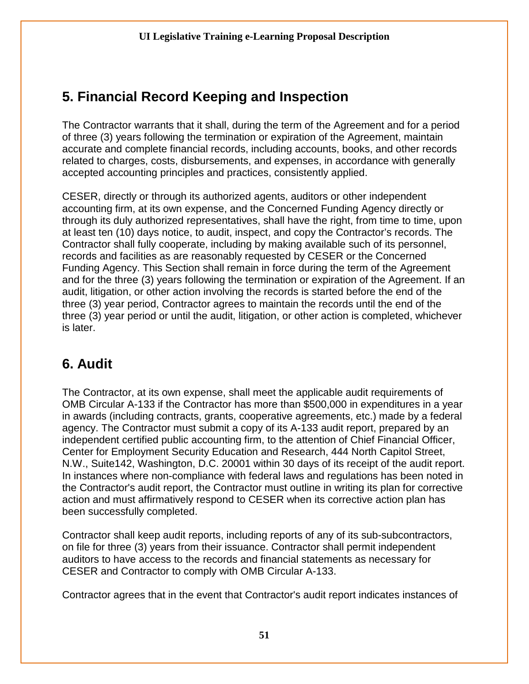**Appendix 7: General Terms and Conditions**



*Center for Employment Security Education and Research 444 North Capitol St. NW, Suite 142 Washington, DC 20001*

# **Table of Contents**

**General Terms and Conditions – Contracts**

#### **Clause**

[1. Definitions](#page-51-0) [2. Relationship](#page-51-1) [3. Arbitration and applicable law](#page-51-2) [4. Assignment and Subcontracting](#page-51-3) [5. Financial Record Keeping and Inspection](#page-52-0) [6. Audit](#page-52-1) [7. Allowable Costs](#page-53-0) [8. Right to Disseminate](#page-53-1) [9. Remedies](#page-54-0) [10. Ownership Rights](#page-54-1) [11. Personnel](#page-54-2) [12. Modification of the Contract](#page-54-3) [13. Excusable Delays](#page-54-4) [14. Inspection](#page-55-0) of Services [15. Insurance Requirements](#page-55-1) [16. Confidential Information](#page-55-2) [17. Laws and ordinances](#page-56-0) [18. Limitation of Liability](#page-56-1) [19. No waiver of conditions](#page-56-2) [20. Public release of information](#page-56-3) [21. Taxes](#page-56-4) [22. Term and Termination](#page-57-0) [23. Warranty of Services](#page-57-1) [24. Special Damages](#page-57-2) [25. Concerned Funding Agency](#page-57-3) [26. Review and Coordination](#page-58-0) [27. Entire Agreement](#page-58-1) [28. Flow down Provisions](#page-58-2) [29. Compliance with Applicable Laws](#page-58-3) [30. Indemnification](#page-59-0) [31. Survival](#page-59-1)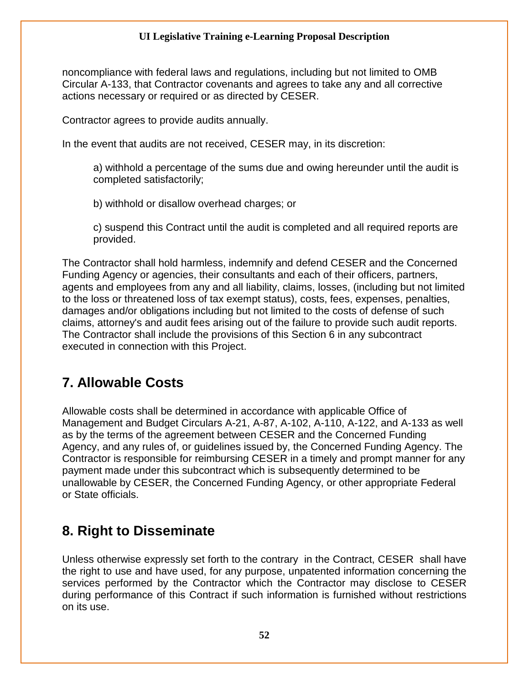## **Exhibit B**

## **General Terms and Conditions**

## **CONTRACT START DATE**

# <span id="page-51-0"></span>**1. Definitions**

A. *Agreement* shall mean the Master Agreement entered into between Contractor and CESER, including the Scope of Work, these General Terms and Conditions, and any other attachments and exhibits.

B. *Services* shall mean those services Contractor is to provide pursuant to the Agreement, including any Scope of Work.

C. *Work* shall mean all work, deliverables, documents, data, goods, and other materials produced, developed, collected, or authored by Contractor pursuant to the Agreement.

D. *Concerned Funding Agency* means any third party entity providing funding, in whole or in part, related to the Agreement.

# <span id="page-51-1"></span>**2. Relationship**

The Contractor is an independent contractor, and the relationship between CESER and the Contractor shall be solely contractual and not in the nature of a partnership, joint venture, or general agency. Neither party may speak nor act on behalf of the other, nor legally commit the other.

# <span id="page-51-2"></span>**3. Arbitration and applicable law**

Any controversy or claim arising out of or relating to this Contract or breach thereof shall be settled by arbitration to be held in the District of Columbia. Judgment upon the award rendered by the arbitrators may be entered in any court having jurisdiction thereof. This Contract will be governed by the laws of the District of Columbia.

# <span id="page-51-3"></span>**4. Assignment and Subcontracting**

This Contract or any interest hereunder shall not be assigned or transferred by the Contractor without prior written consent of CESER and is subject to such terms and conditions that CESER may impose.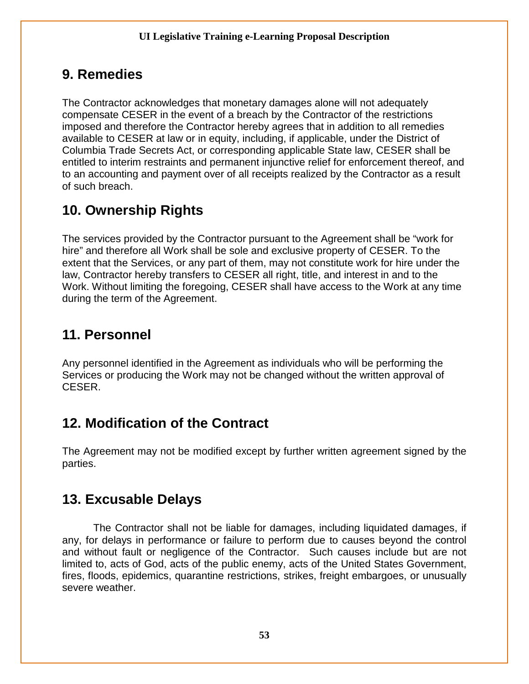# <span id="page-52-0"></span>**5. Financial Record Keeping and Inspection**

The Contractor warrants that it shall, during the term of the Agreement and for a period of three (3) years following the termination or expiration of the Agreement, maintain accurate and complete financial records, including accounts, books, and other records related to charges, costs, disbursements, and expenses, in accordance with generally accepted accounting principles and practices, consistently applied.

CESER, directly or through its authorized agents, auditors or other independent accounting firm, at its own expense, and the Concerned Funding Agency directly or through its duly authorized representatives, shall have the right, from time to time, upon at least ten (10) days notice, to audit, inspect, and copy the Contractor's records. The Contractor shall fully cooperate, including by making available such of its personnel, records and facilities as are reasonably requested by CESER or the Concerned Funding Agency. This Section shall remain in force during the term of the Agreement and for the three (3) years following the termination or expiration of the Agreement. If an audit, litigation, or other action involving the records is started before the end of the three (3) year period, Contractor agrees to maintain the records until the end of the three (3) year period or until the audit, litigation, or other action is completed, whichever is later.

# <span id="page-52-1"></span>**6. Audit**

The Contractor, at its own expense, shall meet the applicable audit requirements of OMB Circular A-133 if the Contractor has more than \$500,000 in expenditures in a year in awards (including contracts, grants, cooperative agreements, etc.) made by a federal agency. The Contractor must submit a copy of its A-133 audit report, prepared by an independent certified public accounting firm, to the attention of Chief Financial Officer, Center for Employment Security Education and Research, 444 North Capitol Street, N.W., Suite142, Washington, D.C. 20001 within 30 days of its receipt of the audit report. In instances where non-compliance with federal laws and regulations has been noted in the Contractor's audit report, the Contractor must outline in writing its plan for corrective action and must affirmatively respond to CESER when its corrective action plan has been successfully completed.

Contractor shall keep audit reports, including reports of any of its sub-subcontractors, on file for three (3) years from their issuance. Contractor shall permit independent auditors to have access to the records and financial statements as necessary for CESER and Contractor to comply with OMB Circular A-133.

Contractor agrees that in the event that Contractor's audit report indicates instances of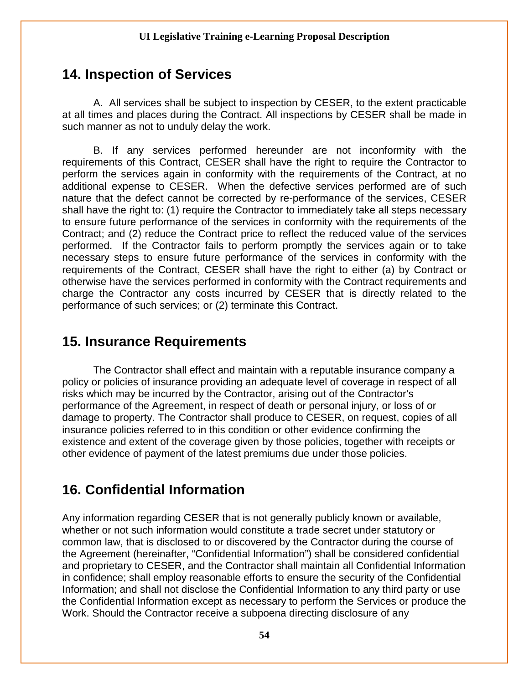noncompliance with federal laws and regulations, including but not limited to OMB Circular A-133, that Contractor covenants and agrees to take any and all corrective actions necessary or required or as directed by CESER.

Contractor agrees to provide audits annually.

In the event that audits are not received, CESER may, in its discretion:

a) withhold a percentage of the sums due and owing hereunder until the audit is completed satisfactorily;

b) withhold or disallow overhead charges; or

c) suspend this Contract until the audit is completed and all required reports are provided.

The Contractor shall hold harmless, indemnify and defend CESER and the Concerned Funding Agency or agencies, their consultants and each of their officers, partners, agents and employees from any and all liability, claims, losses, (including but not limited to the loss or threatened loss of tax exempt status), costs, fees, expenses, penalties, damages and/or obligations including but not limited to the costs of defense of such claims, attorney's and audit fees arising out of the failure to provide such audit reports. The Contractor shall include the provisions of this Section 6 in any subcontract executed in connection with this Project.

# <span id="page-53-0"></span>**7. Allowable Costs**

Allowable costs shall be determined in accordance with applicable Office of Management and Budget Circulars A-21, A-87, A-102, A-110, A-122, and A-133 as well as by the terms of the agreement between CESER and the Concerned Funding Agency, and any rules of, or guidelines issued by, the Concerned Funding Agency. The Contractor is responsible for reimbursing CESER in a timely and prompt manner for any payment made under this subcontract which is subsequently determined to be unallowable by CESER, the Concerned Funding Agency, or other appropriate Federal or State officials.

# <span id="page-53-1"></span>**8. Right to Disseminate**

Unless otherwise expressly set forth to the contrary in the Contract, CESER shall have the right to use and have used, for any purpose, unpatented information concerning the services performed by the Contractor which the Contractor may disclose to CESER during performance of this Contract if such information is furnished without restrictions on its use.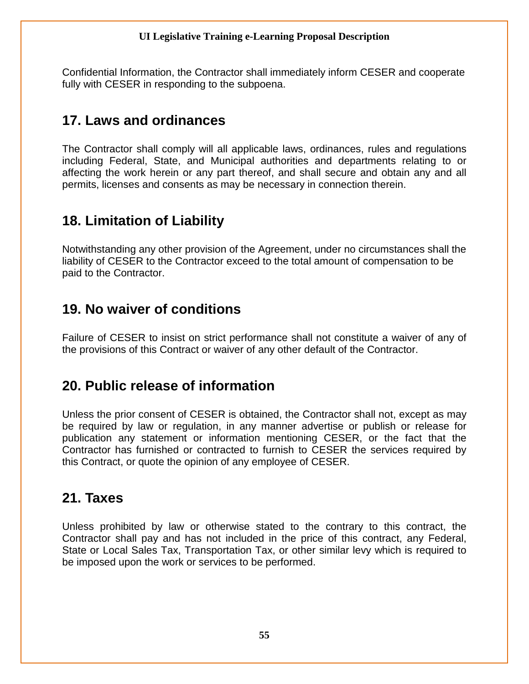# <span id="page-54-0"></span>**9. Remedies**

The Contractor acknowledges that monetary damages alone will not adequately compensate CESER in the event of a breach by the Contractor of the restrictions imposed and therefore the Contractor hereby agrees that in addition to all remedies available to CESER at law or in equity, including, if applicable, under the District of Columbia Trade Secrets Act, or corresponding applicable State law, CESER shall be entitled to interim restraints and permanent injunctive relief for enforcement thereof, and to an accounting and payment over of all receipts realized by the Contractor as a result of such breach.

# <span id="page-54-1"></span>**10. Ownership Rights**

The services provided by the Contractor pursuant to the Agreement shall be "work for hire" and therefore all Work shall be sole and exclusive property of CESER. To the extent that the Services, or any part of them, may not constitute work for hire under the law, Contractor hereby transfers to CESER all right, title, and interest in and to the Work. Without limiting the foregoing, CESER shall have access to the Work at any time during the term of the Agreement.

# <span id="page-54-2"></span>**11. Personnel**

Any personnel identified in the Agreement as individuals who will be performing the Services or producing the Work may not be changed without the written approval of CESER.

# <span id="page-54-3"></span>**12. Modification of the Contract**

The Agreement may not be modified except by further written agreement signed by the parties.

# <span id="page-54-4"></span>**13. Excusable Delays**

The Contractor shall not be liable for damages, including liquidated damages, if any, for delays in performance or failure to perform due to causes beyond the control and without fault or negligence of the Contractor. Such causes include but are not limited to, acts of God, acts of the public enemy, acts of the United States Government, fires, floods, epidemics, quarantine restrictions, strikes, freight embargoes, or unusually severe weather.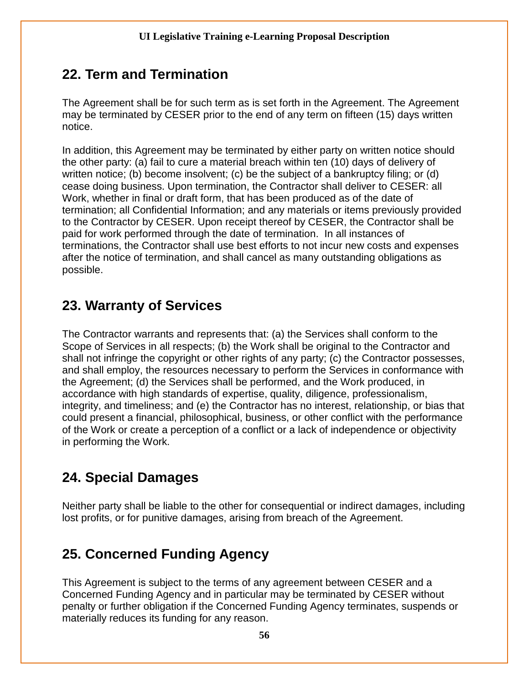# <span id="page-55-0"></span>**14. Inspection of Services**

A. All services shall be subject to inspection by CESER, to the extent practicable at all times and places during the Contract. All inspections by CESER shall be made in such manner as not to unduly delay the work.

B. If any services performed hereunder are not inconformity with the requirements of this Contract, CESER shall have the right to require the Contractor to perform the services again in conformity with the requirements of the Contract, at no additional expense to CESER. When the defective services performed are of such nature that the defect cannot be corrected by re-performance of the services, CESER shall have the right to: (1) require the Contractor to immediately take all steps necessary to ensure future performance of the services in conformity with the requirements of the Contract; and (2) reduce the Contract price to reflect the reduced value of the services performed. If the Contractor fails to perform promptly the services again or to take necessary steps to ensure future performance of the services in conformity with the requirements of the Contract, CESER shall have the right to either (a) by Contract or otherwise have the services performed in conformity with the Contract requirements and charge the Contractor any costs incurred by CESER that is directly related to the performance of such services; or (2) terminate this Contract.

# <span id="page-55-1"></span>**15. Insurance Requirements**

The Contractor shall effect and maintain with a reputable insurance company a policy or policies of insurance providing an adequate level of coverage in respect of all risks which may be incurred by the Contractor, arising out of the Contractor's performance of the Agreement, in respect of death or personal injury, or loss of or damage to property. The Contractor shall produce to CESER, on request, copies of all insurance policies referred to in this condition or other evidence confirming the existence and extent of the coverage given by those policies, together with receipts or other evidence of payment of the latest premiums due under those policies.

# <span id="page-55-2"></span>**16. Confidential Information**

Any information regarding CESER that is not generally publicly known or available, whether or not such information would constitute a trade secret under statutory or common law, that is disclosed to or discovered by the Contractor during the course of the Agreement (hereinafter, "Confidential Information") shall be considered confidential and proprietary to CESER, and the Contractor shall maintain all Confidential Information in confidence; shall employ reasonable efforts to ensure the security of the Confidential Information; and shall not disclose the Confidential Information to any third party or use the Confidential Information except as necessary to perform the Services or produce the Work. Should the Contractor receive a subpoena directing disclosure of any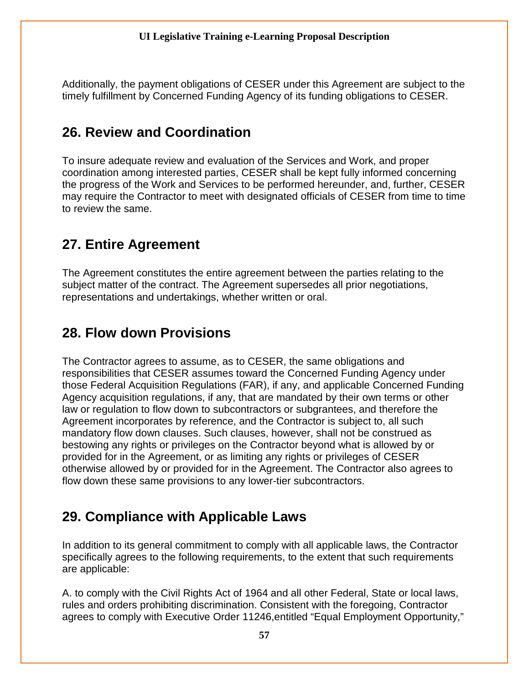Confidential Information, the Contractor shall immediately inform CESER and cooperate fully with CESER in responding to the subpoena.

# <span id="page-56-0"></span>**17. Laws and ordinances**

The Contractor shall comply will all applicable laws, ordinances, rules and regulations including Federal, State, and Municipal authorities and departments relating to or affecting the work herein or any part thereof, and shall secure and obtain any and all permits, licenses and consents as may be necessary in connection therein.

# <span id="page-56-1"></span>**18. Limitation of Liability**

Notwithstanding any other provision of the Agreement, under no circumstances shall the liability of CESER to the Contractor exceed to the total amount of compensation to be paid to the Contractor.

# <span id="page-56-2"></span>**19. No waiver of conditions**

Failure of CESER to insist on strict performance shall not constitute a waiver of any of the provisions of this Contract or waiver of any other default of the Contractor.

# <span id="page-56-3"></span>**20. Public release of information**

Unless the prior consent of CESER is obtained, the Contractor shall not, except as may be required by law or regulation, in any manner advertise or publish or release for publication any statement or information mentioning CESER, or the fact that the Contractor has furnished or contracted to furnish to CESER the services required by this Contract, or quote the opinion of any employee of CESER.

# <span id="page-56-4"></span>**21. Taxes**

Unless prohibited by law or otherwise stated to the contrary to this contract, the Contractor shall pay and has not included in the price of this contract, any Federal, State or Local Sales Tax, Transportation Tax, or other similar levy which is required to be imposed upon the work or services to be performed.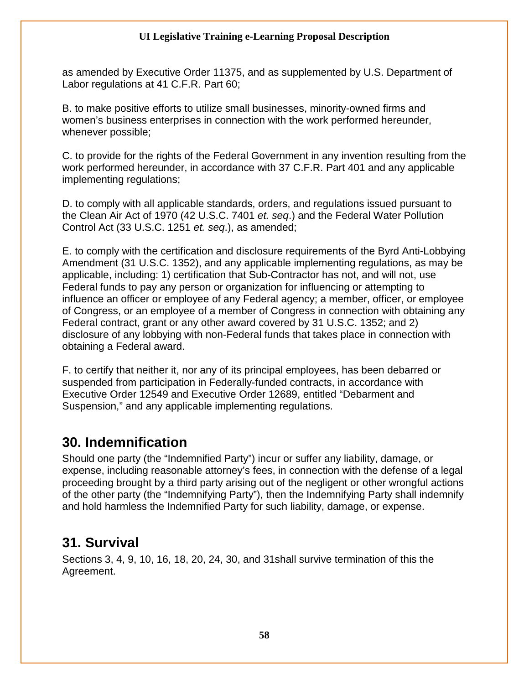# <span id="page-57-0"></span>**22. Term and Termination**

The Agreement shall be for such term as is set forth in the Agreement. The Agreement may be terminated by CESER prior to the end of any term on fifteen (15) days written notice.

In addition, this Agreement may be terminated by either party on written notice should the other party: (a) fail to cure a material breach within ten (10) days of delivery of written notice; (b) become insolvent; (c) be the subject of a bankruptcy filing; or (d) cease doing business. Upon termination, the Contractor shall deliver to CESER: all Work, whether in final or draft form, that has been produced as of the date of termination; all Confidential Information; and any materials or items previously provided to the Contractor by CESER. Upon receipt thereof by CESER, the Contractor shall be paid for work performed through the date of termination. In all instances of terminations, the Contractor shall use best efforts to not incur new costs and expenses after the notice of termination, and shall cancel as many outstanding obligations as possible.

# <span id="page-57-1"></span>**23. Warranty of Services**

The Contractor warrants and represents that: (a) the Services shall conform to the Scope of Services in all respects; (b) the Work shall be original to the Contractor and shall not infringe the copyright or other rights of any party; (c) the Contractor possesses, and shall employ, the resources necessary to perform the Services in conformance with the Agreement; (d) the Services shall be performed, and the Work produced, in accordance with high standards of expertise, quality, diligence, professionalism, integrity, and timeliness; and (e) the Contractor has no interest, relationship, or bias that could present a financial, philosophical, business, or other conflict with the performance of the Work or create a perception of a conflict or a lack of independence or objectivity in performing the Work.

# <span id="page-57-2"></span>**24. Special Damages**

Neither party shall be liable to the other for consequential or indirect damages, including lost profits, or for punitive damages, arising from breach of the Agreement.

# <span id="page-57-3"></span>**25. Concerned Funding Agency**

This Agreement is subject to the terms of any agreement between CESER and a Concerned Funding Agency and in particular may be terminated by CESER without penalty or further obligation if the Concerned Funding Agency terminates, suspends or materially reduces its funding for any reason.